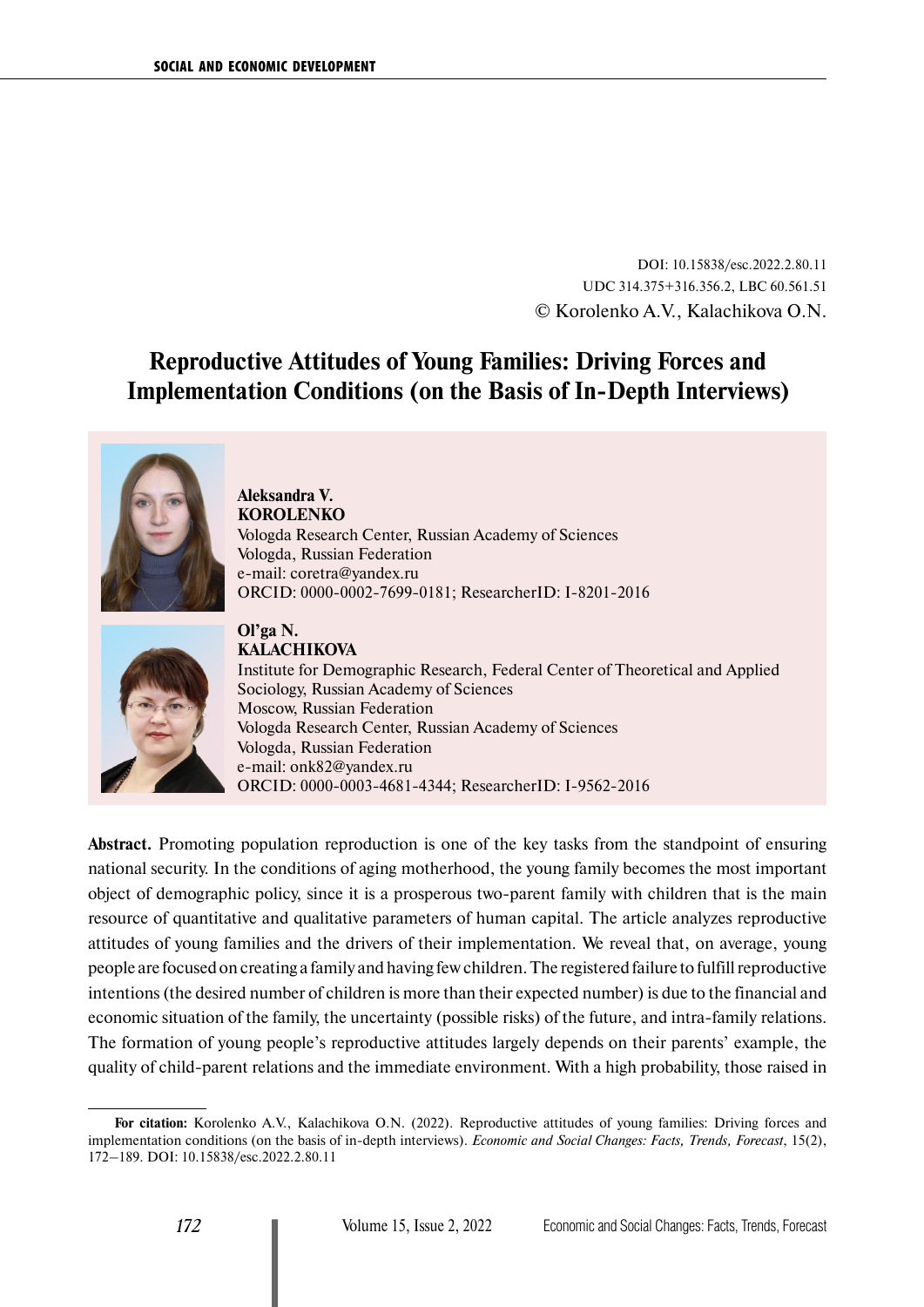DOI: 10.15838/esc.2022.2.80.11 UDC 314.375+316.356.2, LBC 60.561.51 © Korolenko A.V., Kalachikova O.N.

# **Reproductive Attitudes of Young Families: Driving Forces and Implementation Conditions (on the Basis of In-Depth Interviews)**



**Aleksandra V. KOROLENKO** Vologda Research Center, Russian Academy of Sciences Vologda, Russian Federation e-mail: [coretra@yandex.ru](mailto:coretra@yandex.ru) ORCID: [0000-0002-7699-0181](https://orcid.org/0000-0002-7699-0181); ResearcherID: [I-8201-2016](https://publons.com/researcher/I-8201-2016)



**Ol'ga N. KALACHIKOVA** Institute for Demographic Research, Federal Center of Theoretical and Applied Sociology, Russian Academy of Sciences Moscow, Russian Federation Vologda Research Center, Russian Academy of Sciences Vologda, Russian Federation e-mail: [onk82@yandex.ru](mailto:onk82@yandex.ru) ORCID: [0000-0003-4681-4344](https://orcid.org/0000-0003-4681-4344); ResearcherID: [I-9562-2016](https://publons.com/researcher/2252360/olga-kalachikova/)

**Abstract.** Promoting population reproduction is one of the key tasks from the standpoint of ensuring national security. In the conditions of aging motherhood, the young family becomes the most important object of demographic policy, since it is a prosperous two-parent family with children that is the main resource of quantitative and qualitative parameters of human capital. The article analyzes reproductive attitudes of young families and the drivers of their implementation. We reveal that, on average, young people are focused on creating a family and having few children. The registered failure to fulfill reproductive intentions (the desired number of children is more than their expected number) is due to the financial and economic situation of the family, the uncertainty (possible risks) of the future, and intra-family relations. The formation of young people's reproductive attitudes largely depends on their parents' example, the quality of child-parent relations and the immediate environment. With a high probability, those raised in

**For citation:** Korolenko A.V., Kalachikova O.N. (2022). Reproductive attitudes of young families: Driving forces and implementation conditions (on the basis of in-depth interviews). *Economic and Social Changes: Facts, Trends, Forecast*, 15(2), 172–189. DOI: 10.15838/esc.2022.2.80.11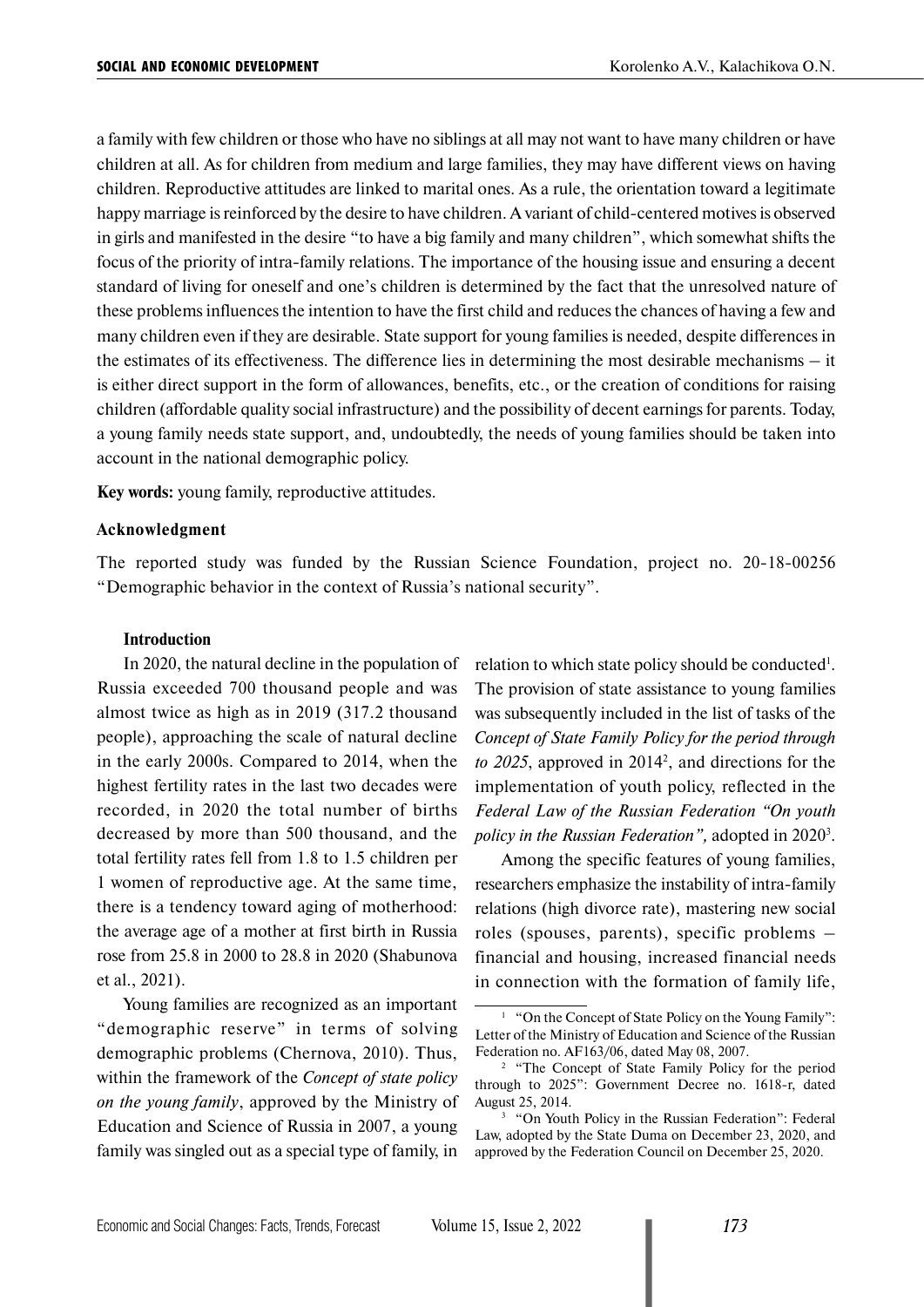a family with few children or those who have no siblings at all may not want to have many children or have children at all. As for children from medium and large families, they may have different views on having children. Reproductive attitudes are linked to marital ones. As a rule, the orientation toward a legitimate happy marriage is reinforced by the desire to have children. A variant of child-centered motives is observed in girls and manifested in the desire "to have a big family and many children", which somewhat shifts the focus of the priority of intra-family relations. The importance of the housing issue and ensuring a decent standard of living for oneself and one's children is determined by the fact that the unresolved nature of these problems influences the intention to have the first child and reduces the chances of having a few and many children even if they are desirable. State support for young families is needed, despite differences in the estimates of its effectiveness. The difference lies in determining the most desirable mechanisms – it is either direct support in the form of allowances, benefits, etc., or the creation of conditions for raising children (affordable quality social infrastructure) and the possibility of decent earnings for parents. Today, a young family needs state support, and, undoubtedly, the needs of young families should be taken into account in the national demographic policy.

**Key words:** young family, reproductive attitudes.

#### **Acknowledgment**

The reported study was funded by the Russian Science Foundation, project no. 20-18-00256 "Demographic behavior in the context of Russia's national security".

### **Introduction**

In 2020, the natural decline in the population of Russia exceeded 700 thousand people and was almost twice as high as in 2019 (317.2 thousand people), approaching the scale of natural decline in the early 2000s. Compared to 2014, when the highest fertility rates in the last two decades were recorded, in 2020 the total number of births decreased by more than 500 thousand, and the total fertility rates fell from 1.8 to 1.5 children per 1 women of reproductive age. At the same time, there is a tendency toward aging of motherhood: the average age of a mother at first birth in Russia rose from 25.8 in 2000 to 28.8 in 2020 (Shabunova et al., 2021).

Young families are recognized as an important "demographic reserve" in terms of solving demographic problems (Chernova, 2010). Thus, within the framework of the *Concept of state policy on the young family*, approved by the Ministry of Education and Science of Russia in 2007, a young family was singled out as a special type of family, in

relation to which state policy should be conducted<sup>1</sup>. The provision of state assistance to young families was subsequently included in the list of tasks of the *Concept of State Family Policy for the period through*  to 2025, approved in 2014<sup>2</sup>, and directions for the implementation of youth policy, reflected in the *Federal Law of the Russian Federation "On youth*  policy in the Russian Federation", adopted in 2020<sup>3</sup>.

Among the specific features of young families, researchers emphasize the instability of intra-family relations (high divorce rate), mastering new social roles (spouses, parents), specific problems – financial and housing, increased financial needs in connection with the formation of family life,

<sup>&</sup>lt;sup>1</sup> "On the Concept of State Policy on the Young Family": Letter of the Ministry of Education and Science of the Russian Federation no. AF163/06, dated May 08, 2007.

<sup>2</sup> "The Concept of State Family Policy for the period through to 2025": Government Decree no. 1618-r, dated August 25, 2014.

<sup>&</sup>lt;sup>3</sup> "On Youth Policy in the Russian Federation": Federal Law, adopted by the State Duma on December 23, 2020, and approved by the Federation Council on December 25, 2020.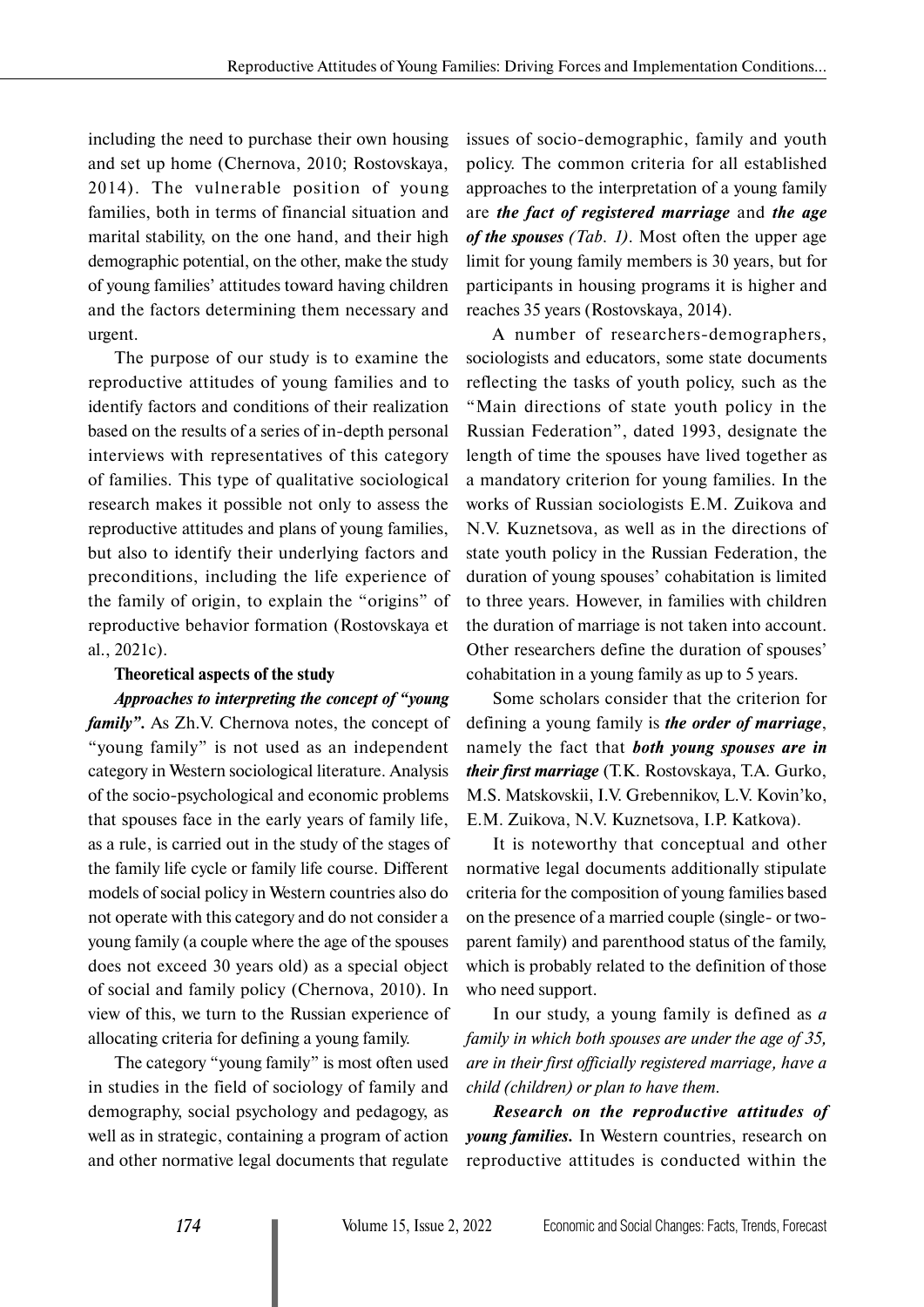including the need to purchase their own housing and set up home (Chernova, 2010; Rostovskaya, 2014). The vulnerable position of young families, both in terms of financial situation and marital stability, on the one hand, and their high demographic potential, on the other, make the study of young families' attitudes toward having children and the factors determining them necessary and urgent.

The purpose of our study is to examine the reproductive attitudes of young families and to identify factors and conditions of their realization based on the results of a series of in-depth personal interviews with representatives of this category of families. This type of qualitative sociological research makes it possible not only to assess the reproductive attitudes and plans of young families, but also to identify their underlying factors and preconditions, including the life experience of the family of origin, to explain the "origins" of reproductive behavior formation (Rostovskaya et al., 2021c).

## **Theoretical aspects of the study**

*Approaches to interpreting the concept of "young family"*. As Zh.V. Chernova notes, the concept of "young family" is not used as an independent category in Western sociological literature. Analysis of the socio-psychological and economic problems that spouses face in the early years of family life, as a rule, is carried out in the study of the stages of the family life cycle or family life course. Different models of social policy in Western countries also do not operate with this category and do not consider a young family (a couple where the age of the spouses does not exceed 30 years old) as a special object of social and family policy (Chernova, 2010). In view of this, we turn to the Russian experience of allocating criteria for defining a young family.

The category "young family" is most often used in studies in the field of sociology of family and demography, social psychology and pedagogy, as well as in strategic, containing a program of action and other normative legal documents that regulate issues of socio-demographic, family and youth policy. The common criteria for all established approaches to the interpretation of a young family are *the fact of registered marriage* and *the age of the spouses (Tab. 1)*. Most often the upper age limit for young family members is 30 years, but for participants in housing programs it is higher and reaches 35 years (Rostovskaya, 2014).

A number of researchers-demographers, sociologists and educators, some state documents reflecting the tasks of youth policy, such as the "Main directions of state youth policy in the Russian Federation", dated 1993, designate the length of time the spouses have lived together as a mandatory criterion for young families. In the works of Russian sociologists E.M. Zuikova and N.V. Kuznetsova, as well as in the directions of state youth policy in the Russian Federation, the duration of young spouses' cohabitation is limited to three years. However, in families with children the duration of marriage is not taken into account. Other researchers define the duration of spouses' cohabitation in a young family as up to 5 years.

Some scholars consider that the criterion for defining a young family is *the order of marriage*, namely the fact that *both young spouses are in their first marriage* (T.K. Rostovskaya, T.A. Gurko, M.S. Matskovskii, I.V. Grebennikov, L.V. Kovin'ko, E.M. Zuikova, N.V. Kuznetsova, I.P. Katkova).

It is noteworthy that conceptual and other normative legal documents additionally stipulate criteria for the composition of young families based on the presence of a married couple (single- or twoparent family) and parenthood status of the family, which is probably related to the definition of those who need support.

In our study, a young family is defined as *a family in which both spouses are under the age of 35, are in their first officially registered marriage, have a child (children) or plan to have them.*

*Research on the reproductive attitudes of young families.* In Western countries, research on reproductive attitudes is conducted within the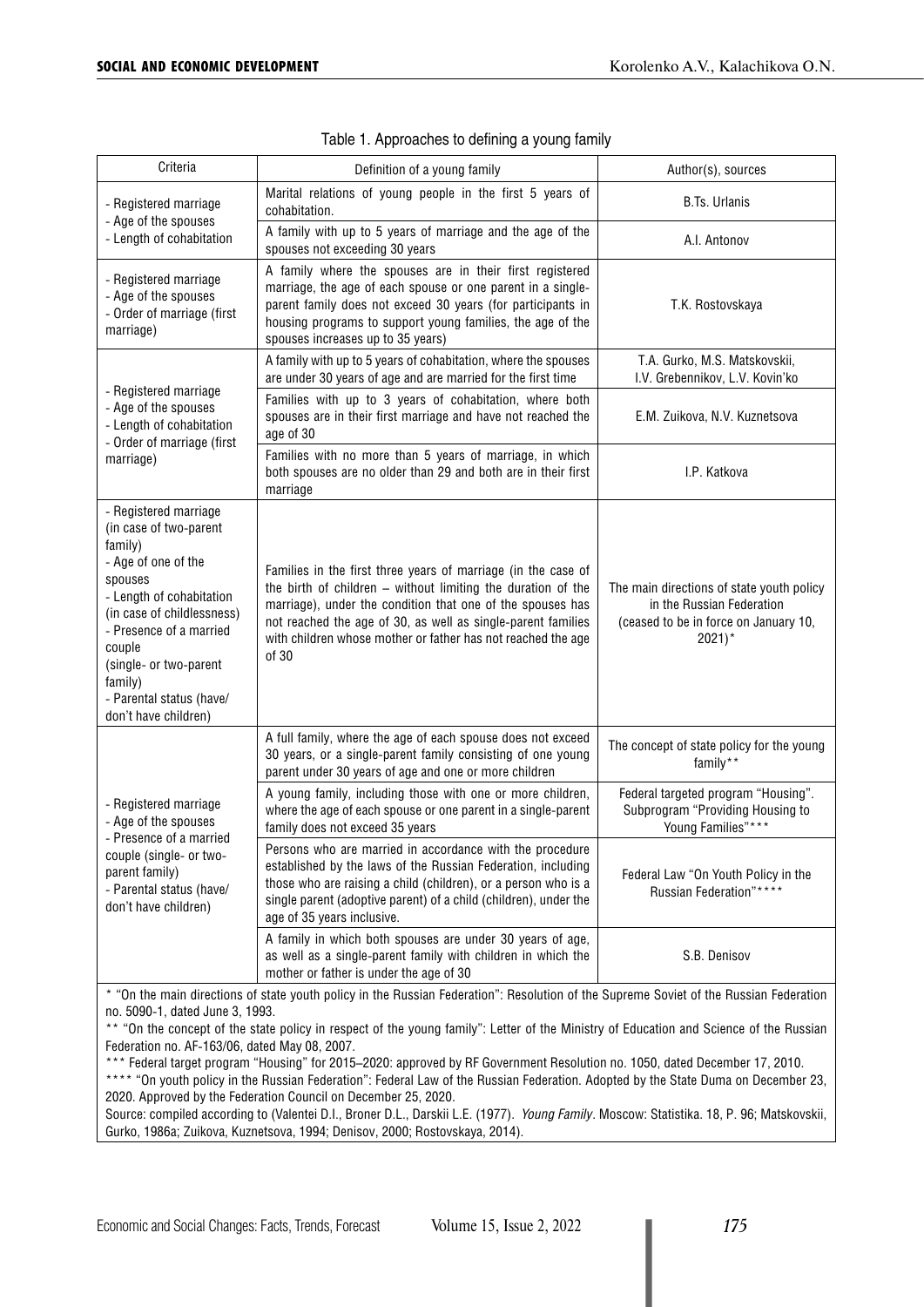| Criteria                                                                                                                                                                                                                                                                             | Definition of a young family                                                                                                                                                                                                                                                                                                         | Author(s), sources                                                                                                                     |  |  |  |
|--------------------------------------------------------------------------------------------------------------------------------------------------------------------------------------------------------------------------------------------------------------------------------------|--------------------------------------------------------------------------------------------------------------------------------------------------------------------------------------------------------------------------------------------------------------------------------------------------------------------------------------|----------------------------------------------------------------------------------------------------------------------------------------|--|--|--|
| - Registered marriage<br>- Age of the spouses<br>- Length of cohabitation                                                                                                                                                                                                            | Marital relations of young people in the first 5 years of<br>cohabitation.                                                                                                                                                                                                                                                           | <b>B.Ts. Urlanis</b>                                                                                                                   |  |  |  |
|                                                                                                                                                                                                                                                                                      | A family with up to 5 years of marriage and the age of the<br>spouses not exceeding 30 years                                                                                                                                                                                                                                         | A.I. Antonov                                                                                                                           |  |  |  |
| - Registered marriage<br>- Age of the spouses<br>- Order of marriage (first<br>marriage)                                                                                                                                                                                             | T.K. Rostovskaya                                                                                                                                                                                                                                                                                                                     |                                                                                                                                        |  |  |  |
| - Registered marriage<br>- Age of the spouses<br>- Length of cohabitation<br>- Order of marriage (first<br>marriage)                                                                                                                                                                 | A family with up to 5 years of cohabitation, where the spouses<br>are under 30 years of age and are married for the first time                                                                                                                                                                                                       | T.A. Gurko, M.S. Matskovskii,<br>I.V. Grebennikov, L.V. Kovin'ko                                                                       |  |  |  |
|                                                                                                                                                                                                                                                                                      | Families with up to 3 years of cohabitation, where both<br>spouses are in their first marriage and have not reached the<br>age of 30                                                                                                                                                                                                 | E.M. Zuikova, N.V. Kuznetsova                                                                                                          |  |  |  |
|                                                                                                                                                                                                                                                                                      | Families with no more than 5 years of marriage, in which<br>both spouses are no older than 29 and both are in their first<br>marriage                                                                                                                                                                                                | I.P. Katkova                                                                                                                           |  |  |  |
| - Registered marriage<br>(in case of two-parent<br>family)<br>- Age of one of the<br>spouses<br>- Length of cohabitation<br>(in case of childlessness)<br>- Presence of a married<br>couple<br>(single- or two-parent<br>family)<br>- Parental status (have/<br>don't have children) | Families in the first three years of marriage (in the case of<br>the birth of children - without limiting the duration of the<br>marriage), under the condition that one of the spouses has<br>not reached the age of 30, as well as single-parent families<br>with children whose mother or father has not reached the age<br>of 30 | The main directions of state youth policy<br>in the Russian Federation<br>(ceased to be in force on January 10,<br>$2021$ <sup>*</sup> |  |  |  |
| - Registered marriage<br>- Age of the spouses<br>- Presence of a married<br>couple (single- or two-<br>parent family)<br>- Parental status (have/<br>don't have children)                                                                                                            | A full family, where the age of each spouse does not exceed<br>30 years, or a single-parent family consisting of one young<br>parent under 30 years of age and one or more children                                                                                                                                                  | The concept of state policy for the young<br>family**                                                                                  |  |  |  |
|                                                                                                                                                                                                                                                                                      | A young family, including those with one or more children,<br>where the age of each spouse or one parent in a single-parent<br>family does not exceed 35 years                                                                                                                                                                       | Federal targeted program "Housing".<br>Subprogram "Providing Housing to<br>Young Families"****                                         |  |  |  |
|                                                                                                                                                                                                                                                                                      | Persons who are married in accordance with the procedure<br>established by the laws of the Russian Federation, including<br>those who are raising a child (children), or a person who is a<br>single parent (adoptive parent) of a child (children), under the<br>age of 35 years inclusive.                                         | Federal Law "On Youth Policy in the<br>Russian Federation"****                                                                         |  |  |  |
|                                                                                                                                                                                                                                                                                      | A family in which both spouses are under 30 years of age,<br>as well as a single-parent family with children in which the<br>mother or father is under the age of 30                                                                                                                                                                 | S.B. Denisov                                                                                                                           |  |  |  |
| * "On the main directions of state youth policy in the Russian Federation": Resolution of the Supreme Soviet of the Russian Federation                                                                                                                                               |                                                                                                                                                                                                                                                                                                                                      |                                                                                                                                        |  |  |  |

|  | Table 1. Approaches to defining a young family |  |  |  |
|--|------------------------------------------------|--|--|--|
|  |                                                |  |  |  |

\* "On the main directions of state youth policy in the Russian Federation": Resolution of the Supreme Soviet of the Russian Federation no. 5090-1, dated June 3, 1993.

\*\* "On the concept of the state policy in respect of the young family": Letter of the Ministry of Education and Science of the Russian Federation no. AF-163/06, dated May 08, 2007.

\*\*\* Federal target program "Housing" for 2015–2020: approved by RF Government Resolution no. 1050, dated December 17, 2010. \*\*\*\* "On youth policy in the Russian Federation": Federal Law of the Russian Federation. Adopted by the State Duma on December 23, 2020. Approved by the Federation Council on December 25, 2020.

Source: compiled according to (Valentei D.I., Broner D.L., Darskii L.E. (1977). *Young Family*. Moscow: Statistika. 18, P. 96; Matskovskii, Gurko, 1986a; Zuikova, Kuznetsova, 1994; Denisov, 2000; Rostovskaya, 2014).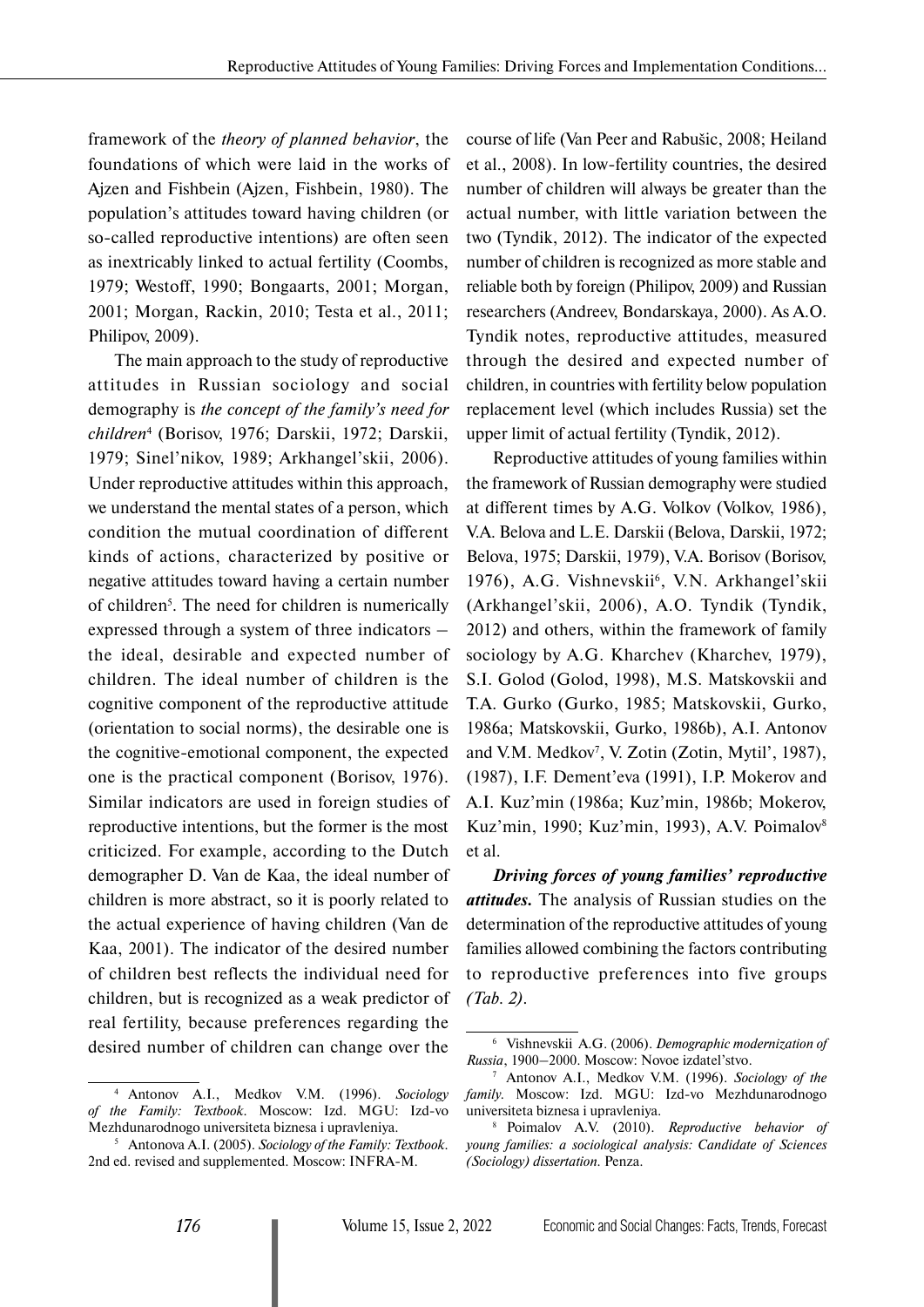framework of the *theory of planned behavior*, the foundations of which were laid in the works of Ajzen and Fishbein (Ajzen, Fishbein, 1980). The population's attitudes toward having children (or so-called reproductive intentions) are often seen as inextricably linked to actual fertility (Coombs, 1979; Westoff, 1990; Bongaarts, 2001; Morgan, 2001; Morgan, Rackin, 2010; Testa et al., 2011; Philipov, 2009).

The main approach to the study of reproductive attitudes in Russian sociology and social demography is *the concept of the family's need for children*<sup>4</sup> (Borisov, 1976; Darskii, 1972; Darskii, 1979; Sinel'nikov, 1989; Arkhangel'skii, 2006). Under reproductive attitudes within this approach, we understand the mental states of a person, which condition the mutual coordination of different kinds of actions, characterized by positive or negative attitudes toward having a certain number of children<sup>5</sup>. The need for children is numerically expressed through a system of three indicators – the ideal, desirable and expected number of children. The ideal number of children is the cognitive component of the reproductive attitude (orientation to social norms), the desirable one is the cognitive-emotional component, the expected one is the practical component (Borisov, 1976). Similar indicators are used in foreign studies of reproductive intentions, but the former is the most criticized. For example, according to the Dutch demographer D. Van de Kaa, the ideal number of children is more abstract, so it is poorly related to the actual experience of having children (Van de Kaa, 2001). The indicator of the desired number of children best reflects the individual need for children, but is recognized as a weak predictor of real fertility, because preferences regarding the desired number of children can change over the

course of life (Van Peer and Rabušic, 2008; Heiland et al., 2008). In low-fertility countries, the desired number of children will always be greater than the actual number, with little variation between the two (Tyndik, 2012). The indicator of the expected number of children is recognized as more stable and reliable both by foreign (Philipov, 2009) and Russian researchers (Andreev, Bondarskaya, 2000). As A.O. Tyndik notes, reproductive attitudes, measured through the desired and expected number of children, in countries with fertility below population replacement level (which includes Russia) set the upper limit of actual fertility (Tyndik, 2012).

Reproductive attitudes of young families within the framework of Russian demography were studied at different times by A.G. Volkov (Volkov, 1986), V.A. Belova and L.E. Darskii (Belova, Darskii, 1972; Belova, 1975; Darskii, 1979), V.A. Borisov (Borisov, 1976), A.G. Vishnevskii<sup>6</sup>, V.N. Arkhangel'skii (Arkhangel'skii, 2006), A.O. Tyndik (Tyndik, 2012) and others, within the framework of family sociology by A.G. Kharchev (Kharchev, 1979), S.I. Golod (Golod, 1998), M.S. Matskovskii and T.A. Gurko (Gurko, 1985; Matskovskii, Gurko, 1986a; Matskovskii, Gurko, 1986b), A.I. Antonov and V.M. Medkov<sup>7</sup>, V. Zotin (Zotin, Mytil', 1987), (1987), I.F. Dement'eva (1991), I.P. Mokerov and A.I. Kuz'min (1986a; Kuz'min, 1986b; Mokerov, Kuz'min, 1990; Kuz'min, 1993), A.V. Poimalov<sup>8</sup> et al.

*Driving forces of young families' reproductive attitudes.* The analysis of Russian studies on the determination of the reproductive attitudes of young families allowed combining the factors contributing to reproductive preferences into five groups *(Tab. 2)*.

<sup>4</sup> Antonov A.I., Medkov V.M. (1996). *Sociology of the Family: Textbook.* Moscow: Izd. MGU: Izd-vo Mezhdunarodnogo universiteta biznesa i upravleniya.

<sup>5</sup> Antonova A.I. (2005). *Sociology of the Family: Textbook.* 2nd ed. revised and supplemented. Moscow: INFRA-M.

<sup>6</sup> Vishnevskii A.G. (2006). *Demographic modernization of Russia*, 1900–2000. Moscow: Novoe izdatel'stvo.

<sup>7</sup> Antonov A.I., Medkov V.M. (1996). *Sociology of the family.* Moscow: Izd. MGU: Izd-vo Mezhdunarodnogo universiteta biznesa i upravleniya.

<sup>8</sup> Poimalov A.V. (2010). *Reproductive behavior of young families: a sociological analysis: Candidate of Sciences (Sociology) dissertation.* Penza.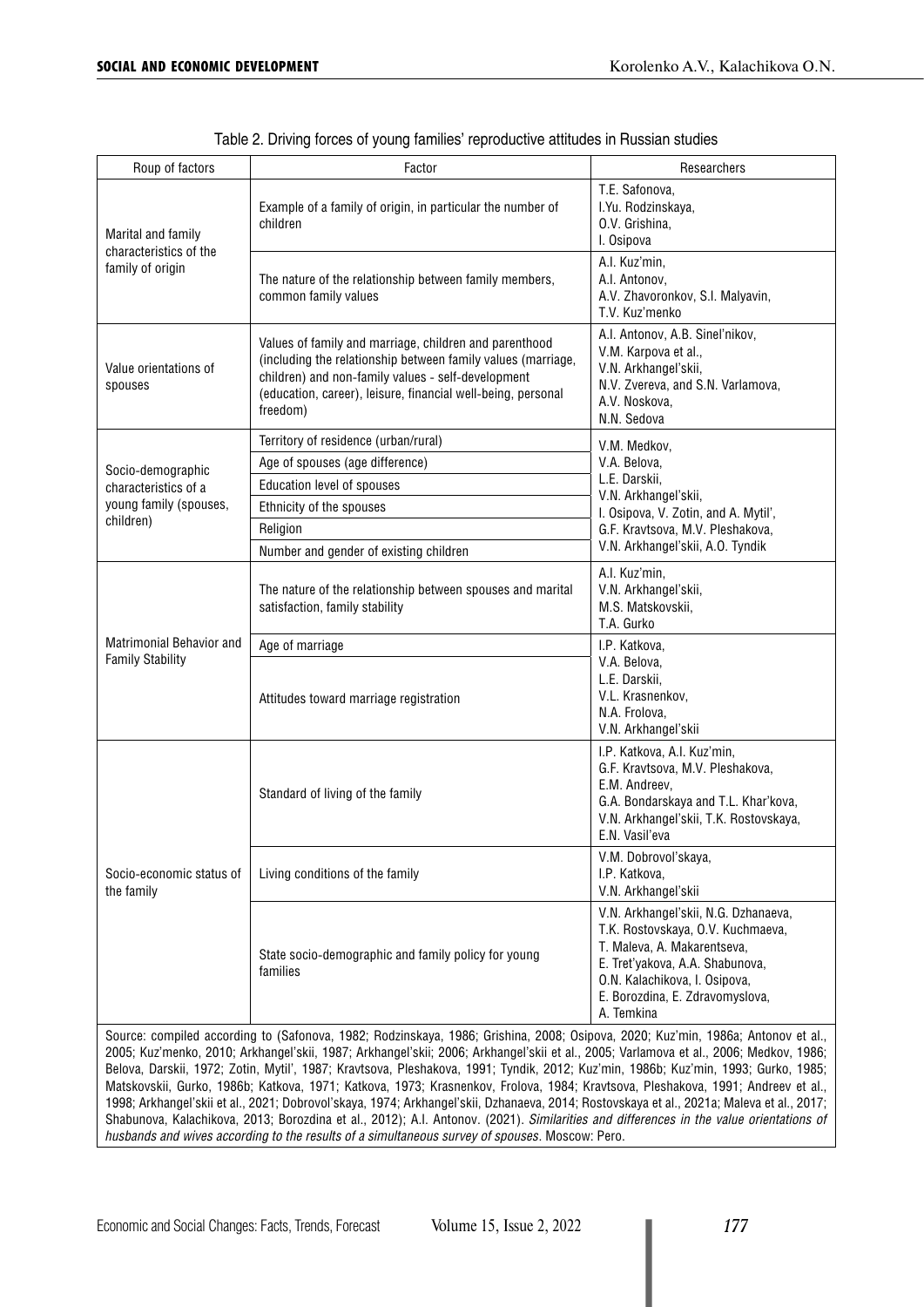| Roup of factors                            | Factor                                                                                                                                                                                                                                                                                                                                                                                                           | Researchers                                                                                                                                                                                                                   |  |  |
|--------------------------------------------|------------------------------------------------------------------------------------------------------------------------------------------------------------------------------------------------------------------------------------------------------------------------------------------------------------------------------------------------------------------------------------------------------------------|-------------------------------------------------------------------------------------------------------------------------------------------------------------------------------------------------------------------------------|--|--|
| Marital and family                         | Example of a family of origin, in particular the number of<br>children                                                                                                                                                                                                                                                                                                                                           | T.E. Safonova,<br>I.Yu. Rodzinskaya,<br>O.V. Grishina.<br>I. Osipova                                                                                                                                                          |  |  |
| characteristics of the<br>family of origin | The nature of the relationship between family members,<br>common family values                                                                                                                                                                                                                                                                                                                                   | A.I. Kuz'min,<br>A.I. Antonov.<br>A.V. Zhavoronkov, S.I. Malyavin,<br>T.V. Kuz'menko                                                                                                                                          |  |  |
| Value orientations of<br>spouses           | A.I. Antonov, A.B. Sinel'nikov,<br>Values of family and marriage, children and parenthood<br>V.M. Karpova et al.,<br>(including the relationship between family values (marriage,<br>V.N. Arkhangel'skii,<br>children) and non-family values - self-development<br>N.V. Zvereva, and S.N. Varlamova,<br>(education, career), leisure, financial well-being, personal<br>A.V. Noskova,<br>freedom)<br>N.N. Sedova |                                                                                                                                                                                                                               |  |  |
|                                            | Territory of residence (urban/rural)                                                                                                                                                                                                                                                                                                                                                                             | V.M. Medkov,                                                                                                                                                                                                                  |  |  |
| Socio-demographic                          | Age of spouses (age difference)                                                                                                                                                                                                                                                                                                                                                                                  | V.A. Belova,<br>L.E. Darskii,<br>V.N. Arkhangel'skii,                                                                                                                                                                         |  |  |
| characteristics of a                       | <b>Education level of spouses</b>                                                                                                                                                                                                                                                                                                                                                                                |                                                                                                                                                                                                                               |  |  |
| young family (spouses,<br>children)        | Ethnicity of the spouses                                                                                                                                                                                                                                                                                                                                                                                         | I. Osipova, V. Zotin, and A. Mytil',                                                                                                                                                                                          |  |  |
|                                            | Religion                                                                                                                                                                                                                                                                                                                                                                                                         | G.F. Kravtsova, M.V. Pleshakova,                                                                                                                                                                                              |  |  |
|                                            | Number and gender of existing children                                                                                                                                                                                                                                                                                                                                                                           | V.N. Arkhangel'skii, A.O. Tyndik                                                                                                                                                                                              |  |  |
|                                            | The nature of the relationship between spouses and marital<br>satisfaction, family stability                                                                                                                                                                                                                                                                                                                     | A.I. Kuz'min,<br>V.N. Arkhangel'skii,<br>M.S. Matskovskii,<br>T.A. Gurko                                                                                                                                                      |  |  |
| <b>Matrimonial Behavior and</b>            | Age of marriage                                                                                                                                                                                                                                                                                                                                                                                                  | I.P. Katkova.                                                                                                                                                                                                                 |  |  |
| <b>Family Stability</b>                    | Attitudes toward marriage registration                                                                                                                                                                                                                                                                                                                                                                           | V.A. Belova,<br>L.E. Darskii,<br>V.L. Krasnenkov,<br>N.A. Frolova,<br>V.N. Arkhangel'skii                                                                                                                                     |  |  |
| Socio-economic status of<br>the family     | Standard of living of the family                                                                                                                                                                                                                                                                                                                                                                                 | I.P. Katkova, A.I. Kuz'min,<br>G.F. Kravtsova, M.V. Pleshakova,<br>E.M. Andreev,<br>G.A. Bondarskaya and T.L. Khar'kova,<br>V.N. Arkhangel'skii, T.K. Rostovskaya,<br>E.N. Vasil'eva                                          |  |  |
|                                            | Living conditions of the family                                                                                                                                                                                                                                                                                                                                                                                  | V.M. Dobrovoľskaya,<br>I.P. Katkova,<br>V.N. Arkhangel'skii                                                                                                                                                                   |  |  |
|                                            | State socio-demographic and family policy for young<br>families<br>Source: compiled according to (Safonova, 1982; Rodzinskaya, 1986; Grishina, 2008; Osipova, 2020; Kuz'min, 1986a; Antonov et al.,                                                                                                                                                                                                              | V.N. Arkhangel'skii, N.G. Dzhanaeva,<br>T.K. Rostovskaya, O.V. Kuchmaeva,<br>T. Maleva, A. Makarentseva,<br>E. Tret'yakova, A.A. Shabunova,<br>O.N. Kalachikova, I. Osipova,<br>E. Borozdina, E. Zdravomyslova,<br>A. Temkina |  |  |

Table 2. Driving forces of young families' reproductive attitudes in Russian studies

Source: compiled according to (Safonova, 1982; Rodzinskaya, 1986; Grishina, 2008; Osipova, 2020; Kuz'min, 1986a; Antonov et al., 2005; Kuz'menko, 2010; Arkhangel'skii, 1987; Arkhangel'skii; 2006; Arkhangel'skii et al., 2005; Varlamova et al., 2006; Medkov, 1986; Belova, Darskii, 1972; Zotin, Mytil', 1987; Kravtsova, Pleshakova, 1991; Tyndik, 2012; Kuz'min, 1986b; Kuz'min, 1993; Gurko, 1985; Matskovskii, Gurko, 1986b; Katkova, 1971; Katkova, 1973; Krasnenkov, Frolova, 1984; Kravtsova, Pleshakova, 1991; Andreev et al., 1998; Arkhangel'skii et al., 2021; Dobrovol'skaya, 1974; Arkhangel'skii, Dzhanaeva, 2014; Rostovskaya et al., 2021a; Maleva et al., 2017; Shabunova, Kalachikova, 2013; Borozdina et al., 2012); A.I. Antonov. (2021). *Similarities and differences in the value orientations of husbands and wives according to the results of a simultaneous survey of spouses*. Moscow: Pero.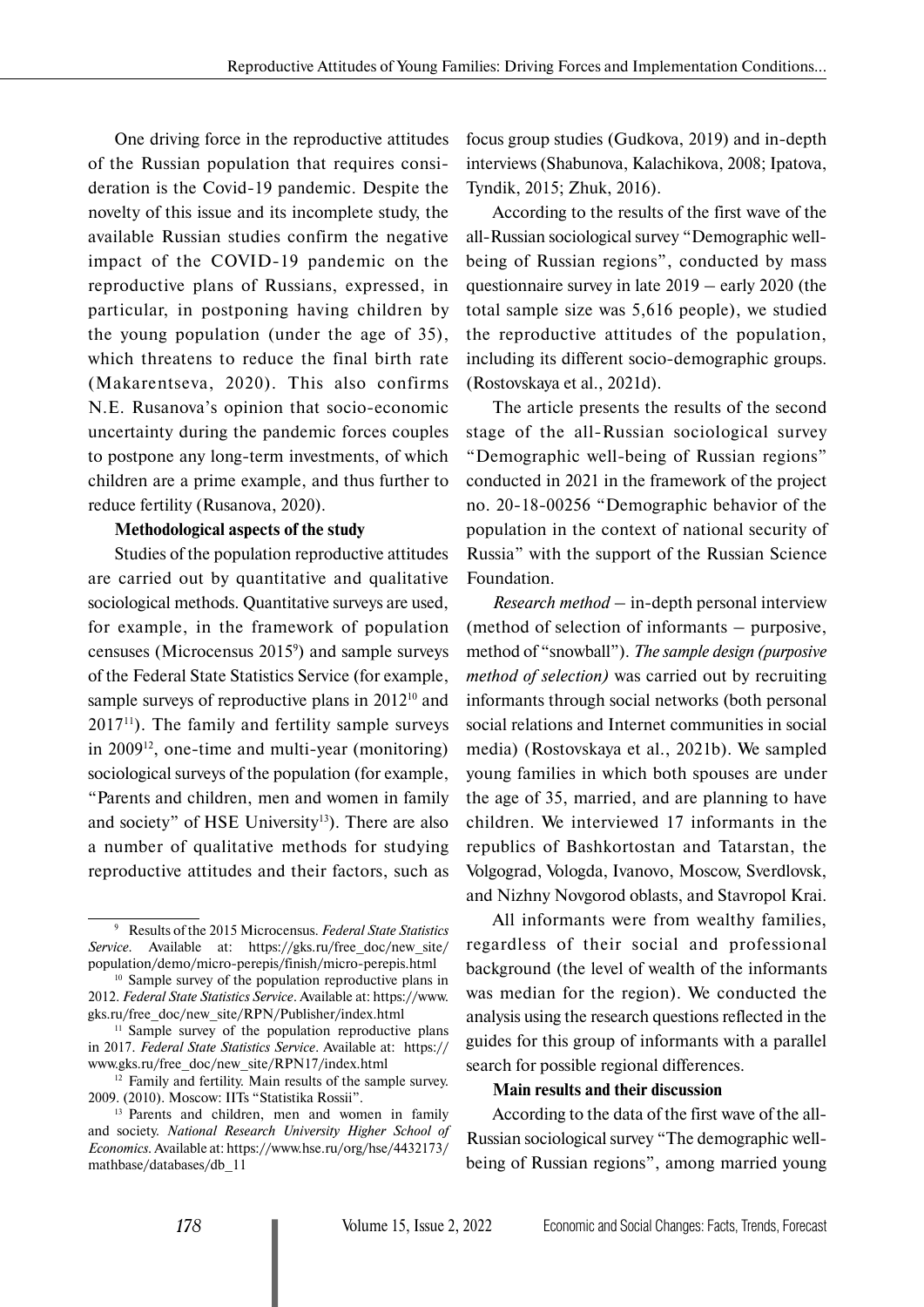One driving force in the reproductive attitudes of the Russian population that requires consideration is the Covid-19 pandemic. Despite the novelty of this issue and its incomplete study, the available Russian studies confirm the negative impact of the COVID-19 pandemic on the reproductive plans of Russians, expressed, in particular, in postponing having children by the young population (under the age of 35), which threatens to reduce the final birth rate (Makarentseva, 2020). This also confirms N.E. Rusanova's opinion that socio-economic uncertainty during the pandemic forces couples to postpone any long-term investments, of which children are a prime example, and thus further to reduce fertility (Rusanova, 2020).

### **Methodological aspects of the study**

Studies of the population reproductive attitudes are carried out by quantitative and qualitative sociological methods. Quantitative surveys are used, for example, in the framework of population censuses (Microcensus 20159 ) and sample surveys of the Federal State Statistics Service (for example, sample surveys of reproductive plans in 2012<sup>10</sup> and  $2017<sup>11</sup>$ ). The family and fertility sample surveys in 200912, one-time and multi-year (monitoring) sociological surveys of the population (for example, "Parents and children, men and women in family and society" of HSE University<sup>13</sup>). There are also a number of qualitative methods for studying reproductive attitudes and their factors, such as

focus group studies (Gudkova, 2019) and in-depth interviews (Shabunova, Kalachikova, 2008; Ipatova, Tyndik, 2015; Zhuk, 2016).

According to the results of the first wave of the all-Russian sociological survey "Demographic wellbeing of Russian regions", conducted by mass questionnaire survey in late 2019 – early 2020 (the total sample size was 5,616 people), we studied the reproductive attitudes of the population, including its different socio-demographic groups. (Rostovskaya et al., 2021d).

The article presents the results of the second stage of the all-Russian sociological survey "Demographic well-being of Russian regions" conducted in 2021 in the framework of the project no. 20-18-00256 "Demographic behavior of the population in the context of national security of Russia" with the support of the Russian Science Foundation.

*Research method –* in-depth personal interview (method of selection of informants – purposive, method of "snowball"). *The sample design (purposive method of selection)* was carried out by recruiting informants through social networks (both personal social relations and Internet communities in social media) (Rostovskaya et al., 2021b). We sampled young families in which both spouses are under the age of 35, married, and are planning to have children. We interviewed 17 informants in the republics of Bashkortostan and Tatarstan, the Volgograd, Vologda, Ivanovo, Moscow, Sverdlovsk, and Nizhny Novgorod oblasts, and Stavropol Krai.

All informants were from wealthy families, regardless of their social and professional background (the level of wealth of the informants was median for the region). We conducted the analysis using the research questions reflected in the guides for this group of informants with a parallel search for possible regional differences.

### **Main results and their discussion**

According to the data of the first wave of the all-Russian sociological survey "The demographic wellbeing of Russian regions", among married young

<sup>9</sup> Results of the 2015 Microcensus. *Federal State Statistics Service.* Available at: https://gks.ru/free\_doc/new\_site/ population/demo/micro-perepis/finish/micro-perepis.html 10 Sample survey of the population reproductive plans in

<sup>2012.</sup> *Federal State Statistics Service*. Available at: https://www. gks.ru/free\_doc/new\_site/RPN/Publisher/index.html

<sup>&</sup>lt;sup>11</sup> Sample survey of the population reproductive plans in 2017. *Federal State Statistics Service*. Available at: https:// www.gks.ru/free\_doc/new\_site/RPN17/index.html <sup>12</sup> Family and fertility. Main results of the sample survey.

<sup>2009. (2010).</sup> Moscow: IITs "Statistika Rossii".

<sup>&</sup>lt;sup>13</sup> Parents and children, men and women in family and society. *National Research University Higher School of Economics.* Available at: https://www.hse.ru/org/hse/4432173/ mathbase/databases/db\_11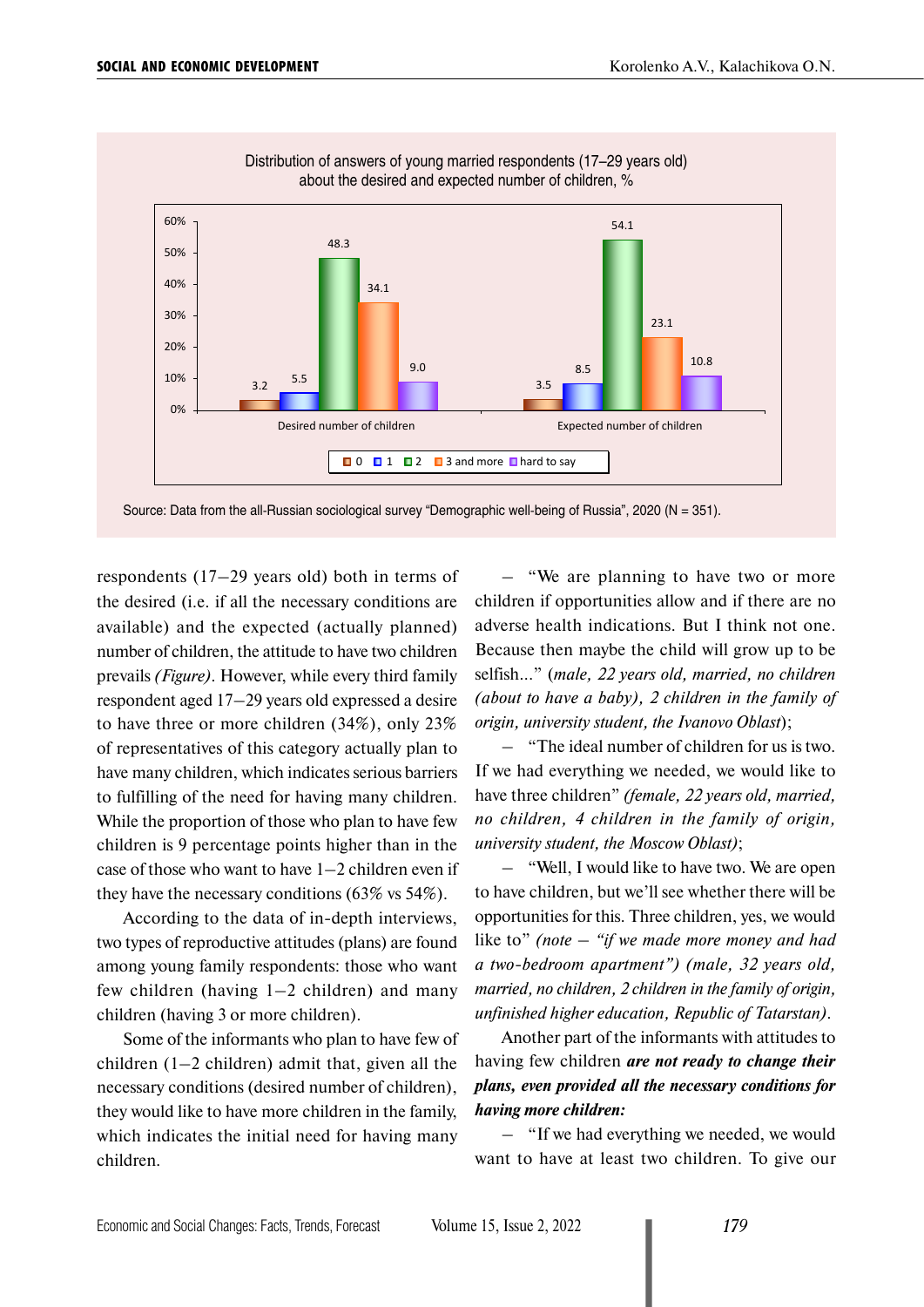

Distribution of answers of young married respondents (17–29 years old) about the desired and expected number of children, %

Source: Data from the all-Russian sociological survey "Demographic well-being of Russia", 2020 (N = 351).

respondents (17–29 years old) both in terms of the desired (i.e. if all the necessary conditions are available) and the expected (actually planned) number of children, the attitude to have two children prevails *(Figure)*. However, while every third family respondent aged 17–29 years old expressed a desire to have three or more children (34%), only 23% of representatives of this category actually plan to have many children, which indicates serious barriers to fulfilling of the need for having many children. While the proportion of those who plan to have few children is 9 percentage points higher than in the case of those who want to have 1–2 children even if they have the necessary conditions (63% vs 54%).

According to the data of in-depth interviews, two types of reproductive attitudes (plans) are found among young family respondents: those who want few children (having 1–2 children) and many children (having 3 or more children).

Some of the informants who plan to have few of children  $(1-2$  children) admit that, given all the necessary conditions (desired number of children), they would like to have more children in the family, which indicates the initial need for having many children.

– "We are planning to have two or more children if opportunities allow and if there are no adverse health indications. But I think not one. Because then maybe the child will grow up to be selfish..." (*male, 22 years old, married, no children (about to have a baby), 2 children in the family of origin, university student, the Ivanovo Oblast*);

– "The ideal number of children for us is two. If we had everything we needed, we would like to have three children" *(female, 22 years old, married, no children, 4 children in the family of origin, university student, the Moscow Oblast)*;

– "Well, I would like to have two. We are open to have children, but we'll see whether there will be opportunities for this. Three children, yes, we would like to" *(note – "if we made more money and had a two-bedroom apartment") (male, 32 years old, married, no children, 2 children in the family of origin, unfinished higher education, Republic of Tatarstan)*.

Another part of the informants with attitudes to having few children *are not ready to change their plans, even provided all the necessary conditions for having more children:*

– "If we had everything we needed, we would want to have at least two children. To give our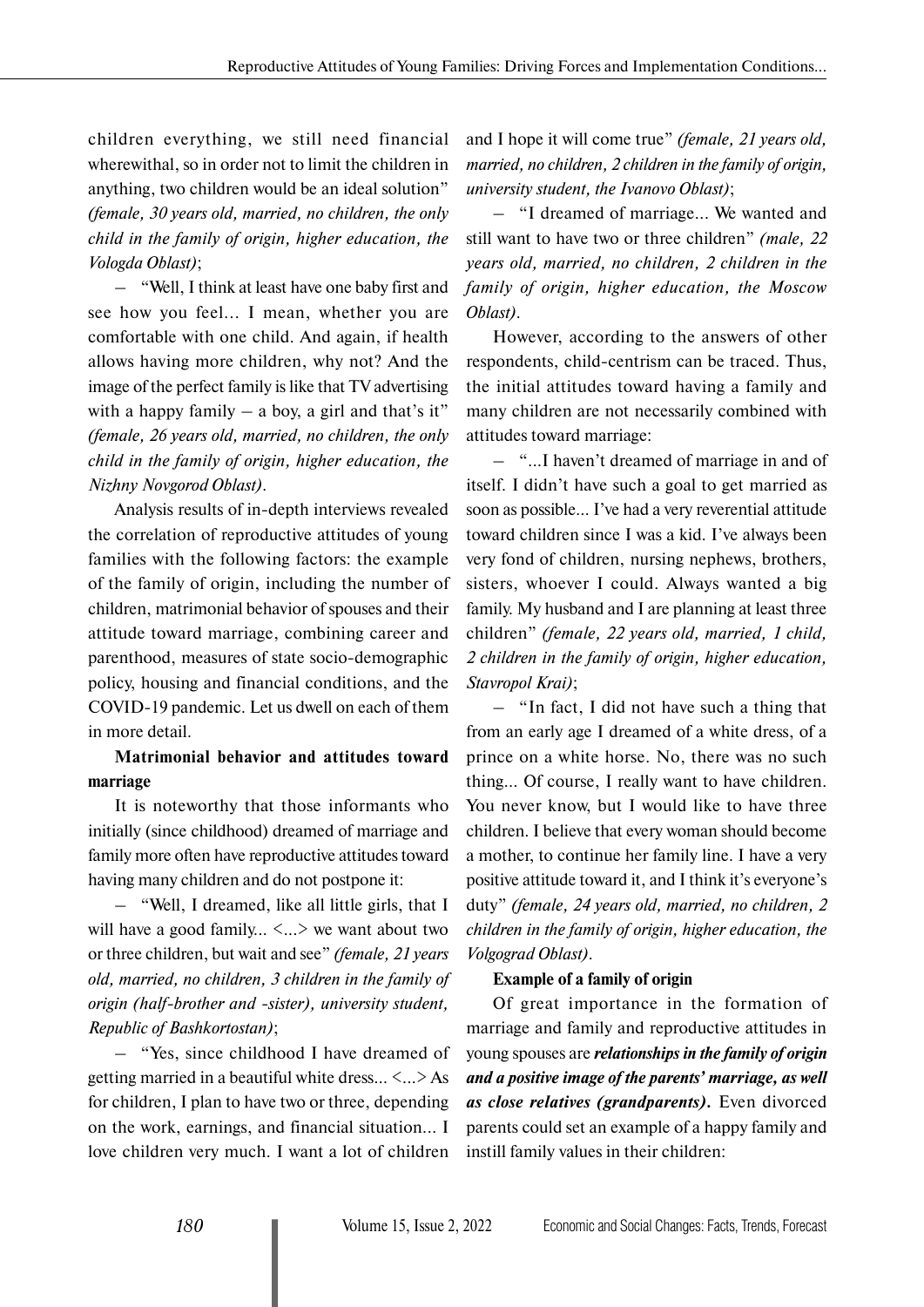children everything, we still need financial wherewithal, so in order not to limit the children in anything, two children would be an ideal solution" *(female, 30 years old, married, no children, the only child in the family of origin, higher education, the Vologda Oblast)*;

– "Well, I think at least have one baby first and see how you feel... I mean, whether you are comfortable with one child. And again, if health allows having more children, why not? And the image of the perfect family is like that TV advertising with a happy family  $-$  a boy, a girl and that's it" *(female, 26 years old, married, no children, the only child in the family of origin, higher education, the Nizhny Novgorod Oblast)*.

Analysis results of in-depth interviews revealed the correlation of reproductive attitudes of young families with the following factors: the example of the family of origin, including the number of children, matrimonial behavior of spouses and their attitude toward marriage, combining career and parenthood, measures of state socio-demographic policy, housing and financial conditions, and the COVID-19 pandemic. Let us dwell on each of them in more detail.

# **Matrimonial behavior and attitudes toward marriage**

It is noteworthy that those informants who initially (since childhood) dreamed of marriage and family more often have reproductive attitudes toward having many children and do not postpone it:

– "Well, I dreamed, like all little girls, that I will have a good family...  $\langle ... \rangle$  we want about two or three children, but wait and see" *(female, 21 years old, married, no children, 3 children in the family of origin (half-brother and -sister), university student, Republic of Bashkortostan)*;

– "Yes, since childhood I have dreamed of getting married in a beautiful white dress... <...> As for children, I plan to have two or three, depending on the work, earnings, and financial situation... I love children very much. I want a lot of children

and I hope it will come true" *(female, 21 years old, married, no children, 2 children in the family of origin, university student, the Ivanovo Oblast)*;

– "I dreamed of marriage... We wanted and still want to have two or three children" *(male, 22 years old, married, no children, 2 children in the family of origin, higher education, the Moscow Oblast)*.

However, according to the answers of other respondents, child-centrism can be traced. Thus, the initial attitudes toward having a family and many children are not necessarily combined with attitudes toward marriage:

– "...I haven't dreamed of marriage in and of itself. I didn't have such a goal to get married as soon as possible... I've had a very reverential attitude toward children since I was a kid. I've always been very fond of children, nursing nephews, brothers, sisters, whoever I could. Always wanted a big family. My husband and I are planning at least three children" *(female, 22 years old, married, 1 child, 2 children in the family of origin, higher education, Stavropol Krai)*;

– "In fact, I did not have such a thing that from an early age I dreamed of a white dress, of a prince on a white horse. No, there was no such thing… Of course, I really want to have children. You never know, but I would like to have three children. I believe that every woman should become a mother, to continue her family line. I have a very positive attitude toward it, and I think it's everyone's duty" *(female, 24 years old, married, no children, 2 children in the family of origin, higher education, the Volgograd Oblast)*.

# **Example of a family of origin**

Of great importance in the formation of marriage and family and reproductive attitudes in young spouses are *relationships in the family of origin and a positive image of the parents' marriage, as well as close relatives (grandparents).* Even divorced parents could set an example of a happy family and instill family values in their children: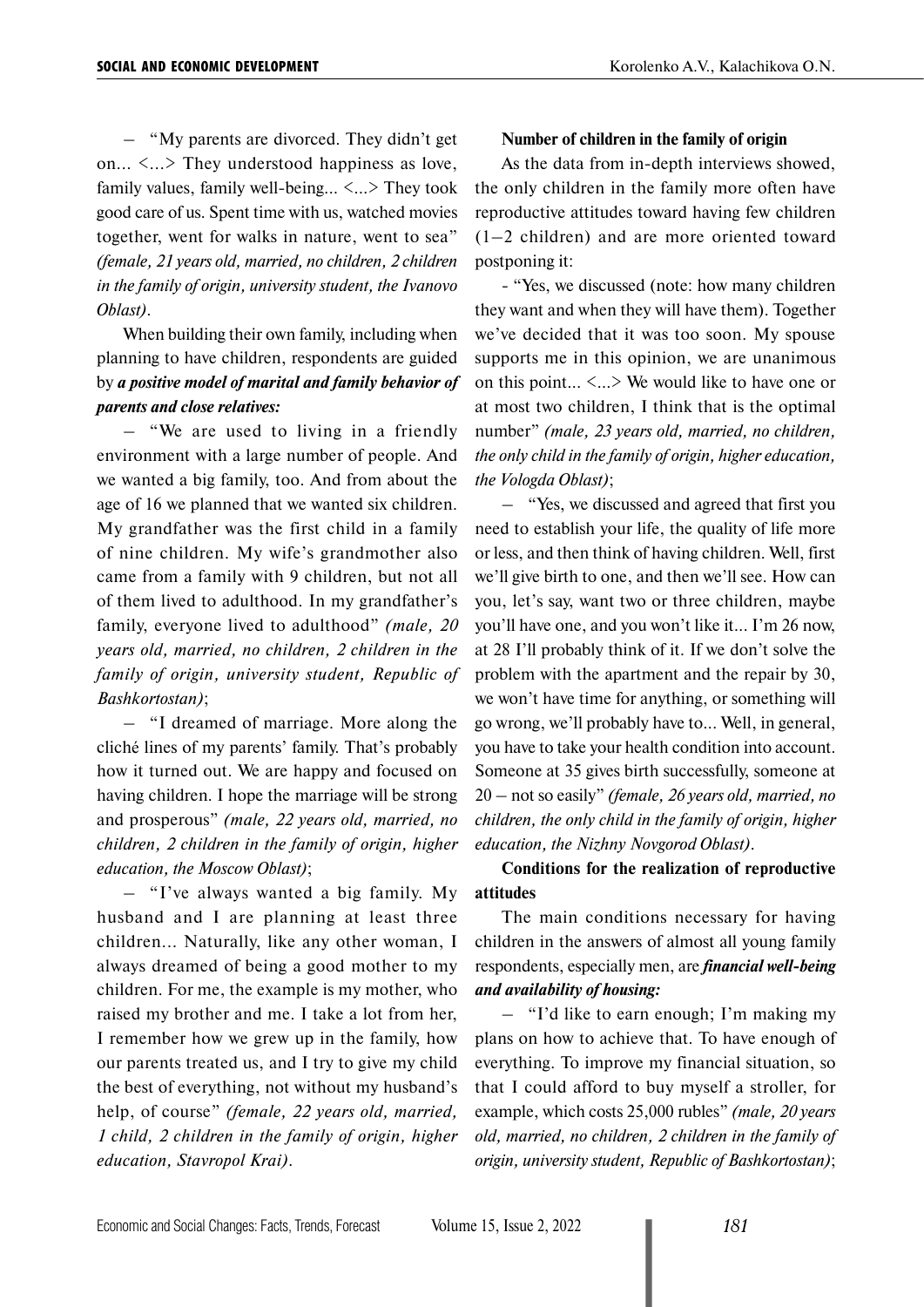– "My parents are divorced. They didn't get on...  $\langle ... \rangle$  They understood happiness as love, family values, family well-being... <...> They took good care of us. Spent time with us, watched movies together, went for walks in nature, went to sea" *(female, 21 years old, married, no children, 2 children in the family of origin, university student, the Ivanovo Oblast)*.

When building their own family, including when planning to have children, respondents are guided by *a positive model of marital and family behavior of parents and close relatives:*

– "We are used to living in a friendly environment with a large number of people. And we wanted a big family, too. And from about the age of 16 we planned that we wanted six children. My grandfather was the first child in a family of nine children. My wife's grandmother also came from a family with 9 children, but not all of them lived to adulthood. In my grandfather's family, everyone lived to adulthood" *(male, 20 years old, married, no children, 2 children in the family of origin, university student, Republic of Bashkortostan)*;

– "I dreamed of marriage. More along the cliché lines of my parents' family. That's probably how it turned out. We are happy and focused on having children. I hope the marriage will be strong and prosperous" *(male, 22 years old, married, no children, 2 children in the family of origin, higher education, the Moscow Oblast)*;

– "I've always wanted a big family. My husband and I are planning at least three children... Naturally, like any other woman, I always dreamed of being a good mother to my children. For me, the example is my mother, who raised my brother and me. I take a lot from her, I remember how we grew up in the family, how our parents treated us, and I try to give my child the best of everything, not without my husband's help, of course" *(female, 22 years old, married, 1 child, 2 children in the family of origin, higher education, Stavropol Krai)*.

#### **Number of children in the family of origin**

As the data from in-depth interviews showed, the only children in the family more often have reproductive attitudes toward having few children (1–2 children) and are more oriented toward postponing it:

- "Yes, we discussed (note: how many children they want and when they will have them). Together we've decided that it was too soon. My spouse supports me in this opinion, we are unanimous on this point... <…> We would like to have one or at most two children, I think that is the optimal number" *(male, 23 years old, married, no children, the only child in the family of origin, higher education, the Vologda Oblast)*;

– "Yes, we discussed and agreed that first you need to establish your life, the quality of life more or less, and then think of having children. Well, first we'll give birth to one, and then we'll see. How can you, let's say, want two or three children, maybe you'll have one, and you won't like it... I'm 26 now, at 28 I'll probably think of it. If we don't solve the problem with the apartment and the repair by 30, we won't have time for anything, or something will go wrong, we'll probably have to... Well, in general, you have to take your health condition into account. Someone at 35 gives birth successfully, someone at 20 – not so easily" *(female, 26 years old, married, no children, the only child in the family of origin, higher education, the Nizhny Novgorod Oblast)*.

# **Conditions for the realization of reproductive attitudes**

The main conditions necessary for having children in the answers of almost all young family respondents, especially men, are *financial well-being and availability of housing:*

– "I'd like to earn enough; I'm making my plans on how to achieve that. To have enough of everything. To improve my financial situation, so that I could afford to buy myself a stroller, for example, which costs 25,000 rubles" *(male, 20 years old, married, no children, 2 children in the family of origin, university student, Republic of Bashkortostan)*;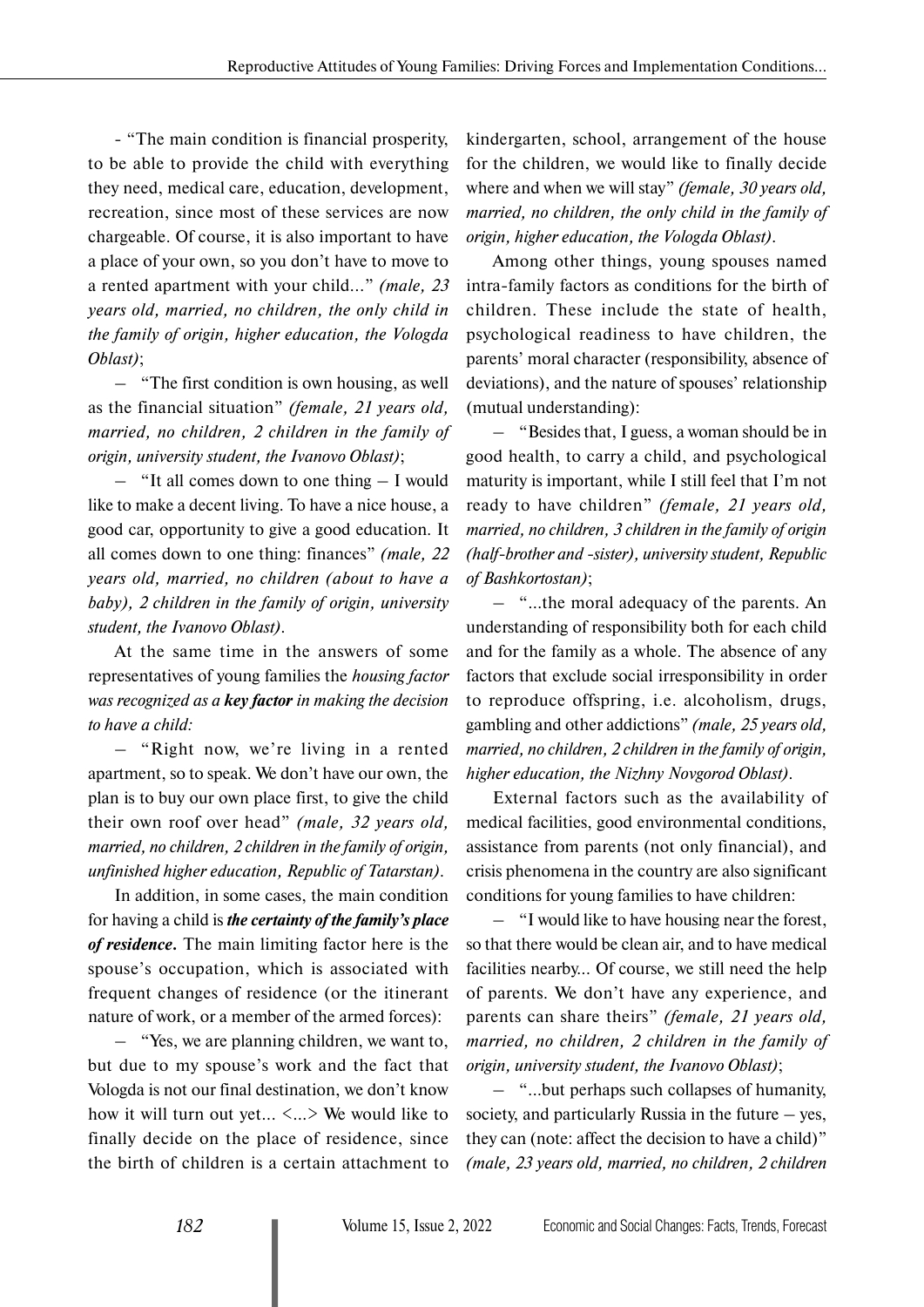- "The main condition is financial prosperity, to be able to provide the child with everything they need, medical care, education, development, recreation, since most of these services are now chargeable. Of course, it is also important to have a place of your own, so you don't have to move to a rented apartment with your child..." *(male, 23 years old, married, no children, the only child in the family of origin, higher education, the Vologda Oblast)*;

– "The first condition is own housing, as well as the financial situation" *(female, 21 years old, married, no children, 2 children in the family of origin, university student, the Ivanovo Oblast)*;

– "It all comes down to one thing – I would like to make a decent living. To have a nice house, a good car, opportunity to give a good education. It all comes down to one thing: finances" *(male, 22 years old, married, no children (about to have a baby), 2 children in the family of origin, university student, the Ivanovo Oblast)*.

At the same time in the answers of some representatives of young families the *housing factor was recognized as a key factor in making the decision to have a child:*

– "Right now, we're living in a rented apartment, so to speak. We don't have our own, the plan is to buy our own place first, to give the child their own roof over head" *(male, 32 years old, married, no children, 2 children in the family of origin, unfinished higher education, Republic of Tatarstan)*.

In addition, in some cases, the main condition for having a child is *the certainty of the family's place of residence.* The main limiting factor here is the spouse's occupation, which is associated with frequent changes of residence (or the itinerant nature of work, or a member of the armed forces):

– "Yes, we are planning children, we want to, but due to my spouse's work and the fact that Vologda is not our final destination, we don't know how it will turn out yet... <…> We would like to finally decide on the place of residence, since the birth of children is a certain attachment to

kindergarten, school, arrangement of the house for the children, we would like to finally decide where and when we will stay" *(female, 30 years old, married, no children, the only child in the family of origin, higher education, the Vologda Oblast)*.

Among other things, young spouses named intra-family factors as conditions for the birth of children. These include the state of health, psychological readiness to have children, the parents' moral character (responsibility, absence of deviations), and the nature of spouses' relationship (mutual understanding):

– "Besides that, I guess, a woman should be in good health, to carry a child, and psychological maturity is important, while I still feel that I'm not ready to have children" *(female, 21 years old, married, no children, 3 children in the family of origin (half-brother and -sister), university student, Republic of Bashkortostan)*;

– "…the moral adequacy of the parents. An understanding of responsibility both for each child and for the family as a whole. The absence of any factors that exclude social irresponsibility in order to reproduce offspring, i.e. alcoholism, drugs, gambling and other addictions" *(male, 25 years old, married, no children, 2 children in the family of origin, higher education, the Nizhny Novgorod Oblast)*.

External factors such as the availability of medical facilities, good environmental conditions, assistance from parents (not only financial), and crisis phenomena in the country are also significant conditions for young families to have children:

– "I would like to have housing near the forest, so that there would be clean air, and to have medical facilities nearby... Of course, we still need the help of parents. We don't have any experience, and parents can share theirs" *(female, 21 years old, married, no children, 2 children in the family of origin, university student, the Ivanovo Oblast)*;

– "...but perhaps such collapses of humanity, society, and particularly Russia in the future  $-$  yes, they can (note: affect the decision to have a child)" *(male, 23 years old, married, no children, 2 children*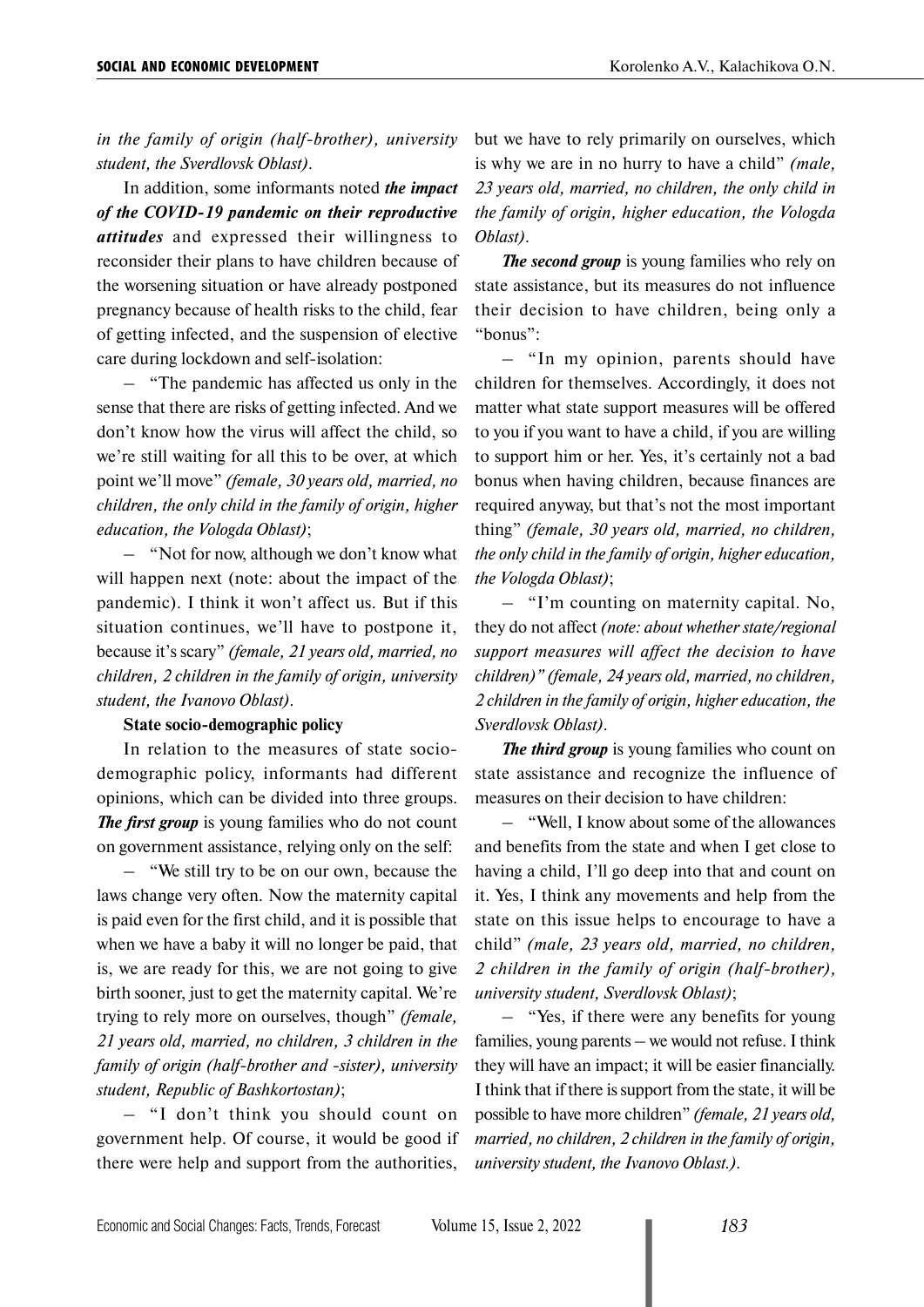*in the family of origin (half-brother), university student, the Sverdlovsk Oblast)*.

In addition, some informants noted *the impact of the COVID-19 pandemic on their reproductive attitudes* and expressed their willingness to reconsider their plans to have children because of the worsening situation or have already postponed pregnancy because of health risks to the child, fear of getting infected, and the suspension of elective care during lockdown and self-isolation:

– "The pandemic has affected us only in the sense that there are risks of getting infected. And we don't know how the virus will affect the child, so we're still waiting for all this to be over, at which point we'll move" *(female, 30 years old, married, no children, the only child in the family of origin, higher education, the Vologda Oblast)*;

– "Not for now, although we don't know what will happen next (note: about the impact of the pandemic). I think it won't affect us. But if this situation continues, we'll have to postpone it, because it's scary" *(female, 21 years old, married, no children, 2 children in the family of origin, university student, the Ivanovo Oblast)*.

#### **State socio-demographic policy**

In relation to the measures of state sociodemographic policy, informants had different opinions, which can be divided into three groups. *The first group* is young families who do not count on government assistance, relying only on the self:

– "We still try to be on our own, because the laws change very often. Now the maternity capital is paid even for the first child, and it is possible that when we have a baby it will no longer be paid, that is, we are ready for this, we are not going to give birth sooner, just to get the maternity capital. We're trying to rely more on ourselves, though" *(female, 21 years old, married, no children, 3 children in the family of origin (half-brother and -sister), university student, Republic of Bashkortostan)*;

– "I don't think you should count on government help. Of course, it would be good if there were help and support from the authorities,

but we have to rely primarily on ourselves, which is why we are in no hurry to have a child" *(male, 23 years old, married, no children, the only child in the family of origin, higher education, the Vologda Oblast)*.

*The second group* is young families who rely on state assistance, but its measures do not influence their decision to have children, being only a "bonus":

– "In my opinion, parents should have children for themselves. Accordingly, it does not matter what state support measures will be offered to you if you want to have a child, if you are willing to support him or her. Yes, it's certainly not a bad bonus when having children, because finances are required anyway, but that's not the most important thing" *(female, 30 years old, married, no children, the only child in the family of origin, higher education, the Vologda Oblast)*;

– "I'm counting on maternity capital. No, they do not affect *(note: about whether state/regional support measures will affect the decision to have children)" (female, 24 years old, married, no children, 2 children in the family of origin, higher education, the Sverdlovsk Oblast)*.

*The third group* is young families who count on state assistance and recognize the influence of measures on their decision to have children:

– "Well, I know about some of the allowances and benefits from the state and when I get close to having a child, I'll go deep into that and count on it. Yes, I think any movements and help from the state on this issue helps to encourage to have a child" *(male, 23 years old, married, no children, 2 children in the family of origin (half-brother), university student, Sverdlovsk Oblast)*;

– "Yes, if there were any benefits for young families, young parents – we would not refuse. I think they will have an impact; it will be easier financially. I think that if there is support from the state, it will be possible to have more children" *(female, 21 years old, married, no children, 2 children in the family of origin, university student, the Ivanovo Oblast.)*.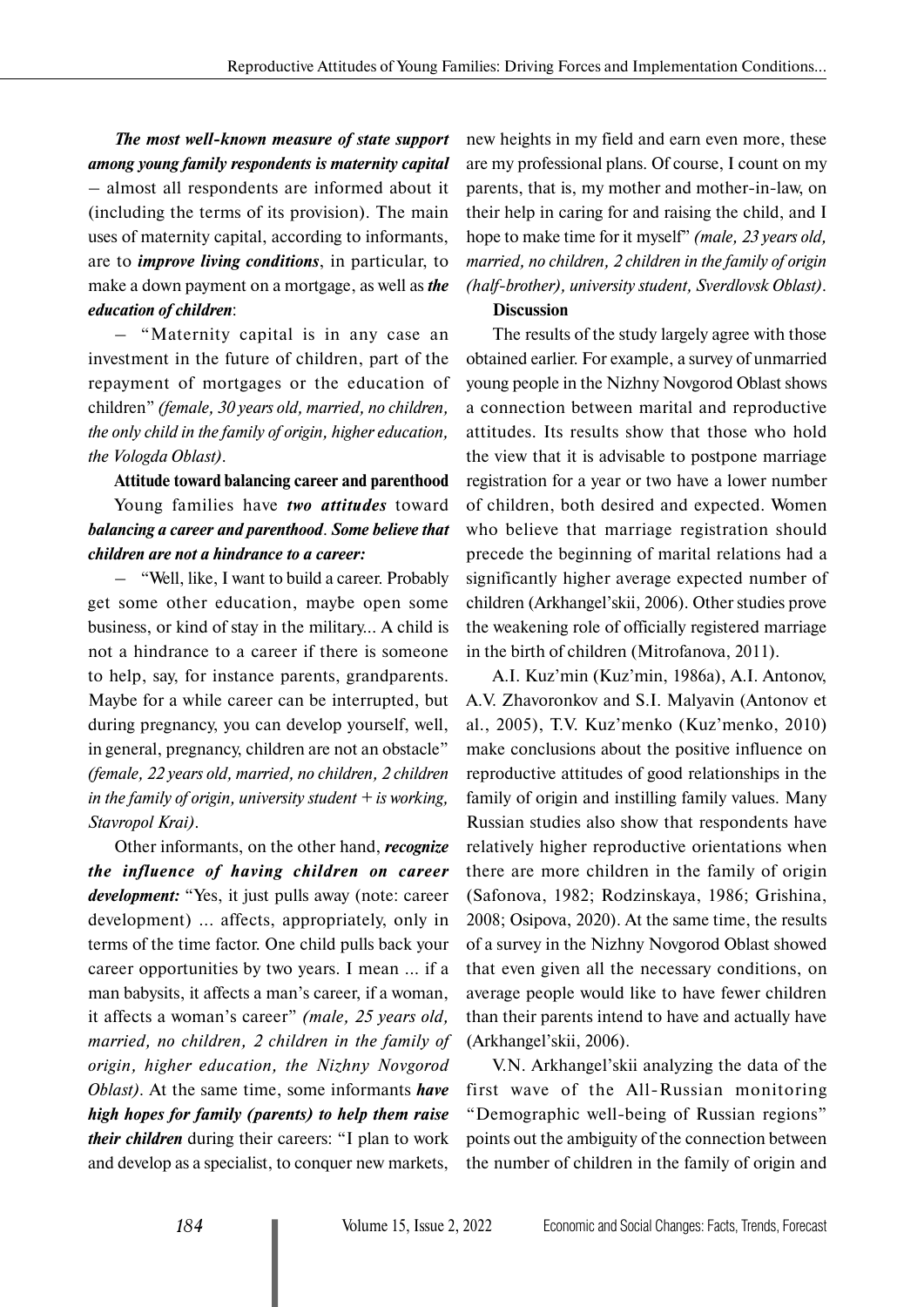# *The most well-known measure of state support among young family respondents is maternity capital*

– almost all respondents are informed about it (including the terms of its provision). The main uses of maternity capital, according to informants, are to *improve living conditions*, in particular, to make a down payment on a mortgage, as well as *the education of children*:

– "Maternity capital is in any case an investment in the future of children, part of the repayment of mortgages or the education of children" *(female, 30 years old, married, no children, the only child in the family of origin, higher education, the Vologda Oblast)*.

**Attitude toward balancing career and parenthood**

Young families have *two attitudes* toward *balancing a career and parenthood*. *Some believe that children are not a hindrance to a career:*

– "Well, like, I want to build a career. Probably get some other education, maybe open some business, or kind of stay in the military... A child is not a hindrance to a career if there is someone to help, say, for instance parents, grandparents. Maybe for a while career can be interrupted, but during pregnancy, you can develop yourself, well, in general, pregnancy, children are not an obstacle" *(female, 22 years old, married, no children, 2 children in the family of origin, university student + is working, Stavropol Krai)*.

Other informants, on the other hand, *recognize the influence of having children on career development:* "Yes, it just pulls away (note: career development) ... affects, appropriately, only in terms of the time factor. One child pulls back your career opportunities by two years. I mean ... if a man babysits, it affects a man's career, if a woman, it affects a woman's career" *(male, 25 years old, married, no children, 2 children in the family of origin, higher education, the Nizhny Novgorod Oblast)*. At the same time, some informants *have high hopes for family (parents) to help them raise their children* during their careers: "I plan to work and develop as a specialist, to conquer new markets,

new heights in my field and earn even more, these are my professional plans. Of course, I count on my parents, that is, my mother and mother-in-law, on their help in caring for and raising the child, and I hope to make time for it myself" *(male, 23 years old, married, no children, 2 children in the family of origin (half-brother), university student, Sverdlovsk Oblast)*.

## **Discussion**

The results of the study largely agree with those obtained earlier. For example, a survey of unmarried young people in the Nizhny Novgorod Oblast shows a connection between marital and reproductive attitudes. Its results show that those who hold the view that it is advisable to postpone marriage registration for a year or two have a lower number of children, both desired and expected. Women who believe that marriage registration should precede the beginning of marital relations had a significantly higher average expected number of children (Arkhangel'skii, 2006). Other studies prove the weakening role of officially registered marriage in the birth of children (Mitrofanova, 2011).

A.I. Kuz'min (Kuz'min, 1986a), A.I. Antonov, A.V. Zhavoronkov and S.I. Malyavin (Antonov et al., 2005), T.V. Kuz'menko (Kuz'menko, 2010) make conclusions about the positive influence on reproductive attitudes of good relationships in the family of origin and instilling family values. Many Russian studies also show that respondents have relatively higher reproductive orientations when there are more children in the family of origin (Safonova, 1982; Rodzinskaya, 1986; Grishina, 2008; Osipova, 2020). At the same time, the results of a survey in the Nizhny Novgorod Oblast showed that even given all the necessary conditions, on average people would like to have fewer children than their parents intend to have and actually have (Arkhangel'skii, 2006).

V.N. Arkhangel'skii analyzing the data of the first wave of the All-Russian monitoring "Demographic well-being of Russian regions" points out the ambiguity of the connection between the number of children in the family of origin and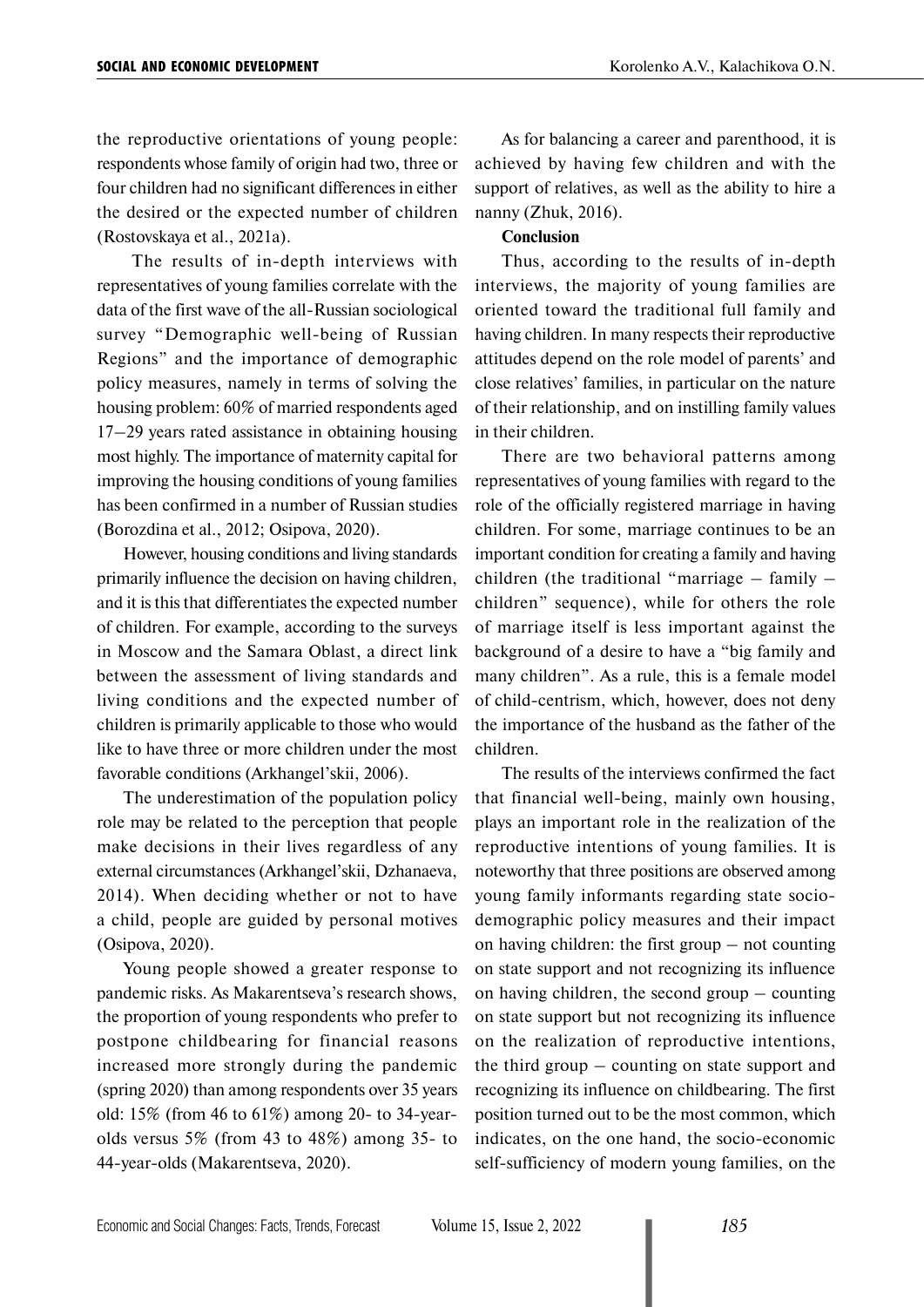the reproductive orientations of young people: respondents whose family of origin had two, three or four children had no significant differences in either the desired or the expected number of children (Rostovskaya et al., 2021a).

 The results of in-depth interviews with representatives of young families correlate with the data of the first wave of the all-Russian sociological survey "Demographic well-being of Russian Regions" and the importance of demographic policy measures, namely in terms of solving the housing problem: 60% of married respondents aged 17–29 years rated assistance in obtaining housing most highly. The importance of maternity capital for improving the housing conditions of young families has been confirmed in a number of Russian studies (Borozdina et al., 2012; Osipova, 2020).

However, housing conditions and living standards primarily influence the decision on having children, and it is this that differentiates the expected number of children. For example, according to the surveys in Moscow and the Samara Oblast, a direct link between the assessment of living standards and living conditions and the expected number of children is primarily applicable to those who would like to have three or more children under the most favorable conditions (Arkhangel'skii, 2006).

The underestimation of the population policy role may be related to the perception that people make decisions in their lives regardless of any external circumstances (Arkhangel'skii, Dzhanaeva, 2014). When deciding whether or not to have a child, people are guided by personal motives (Osipova, 2020).

Young people showed a greater response to pandemic risks. As Makarentseva's research shows, the proportion of young respondents who prefer to postpone childbearing for financial reasons increased more strongly during the pandemic (spring 2020) than among respondents over 35 years old: 15% (from 46 to 61%) among 20- to 34-yearolds versus 5% (from 43 to 48%) among 35- to 44-year-olds (Makarentseva, 2020).

As for balancing a career and parenthood, it is achieved by having few children and with the support of relatives, as well as the ability to hire a nanny (Zhuk, 2016).

### **Conclusion**

Thus, according to the results of in-depth interviews, the majority of young families are oriented toward the traditional full family and having children. In many respects their reproductive attitudes depend on the role model of parents' and close relatives' families, in particular on the nature of their relationship, and on instilling family values in their children.

There are two behavioral patterns among representatives of young families with regard to the role of the officially registered marriage in having children. For some, marriage continues to be an important condition for creating a family and having children (the traditional "marriage – family – children" sequence), while for others the role of marriage itself is less important against the background of a desire to have a "big family and many children". As a rule, this is a female model of child-centrism, which, however, does not deny the importance of the husband as the father of the children.

The results of the interviews confirmed the fact that financial well-being, mainly own housing, plays an important role in the realization of the reproductive intentions of young families. It is noteworthy that three positions are observed among young family informants regarding state sociodemographic policy measures and their impact on having children: the first group – not counting on state support and not recognizing its influence on having children, the second group – counting on state support but not recognizing its influence on the realization of reproductive intentions, the third group – counting on state support and recognizing its influence on childbearing. The first position turned out to be the most common, which indicates, on the one hand, the socio-economic self-sufficiency of modern young families, on the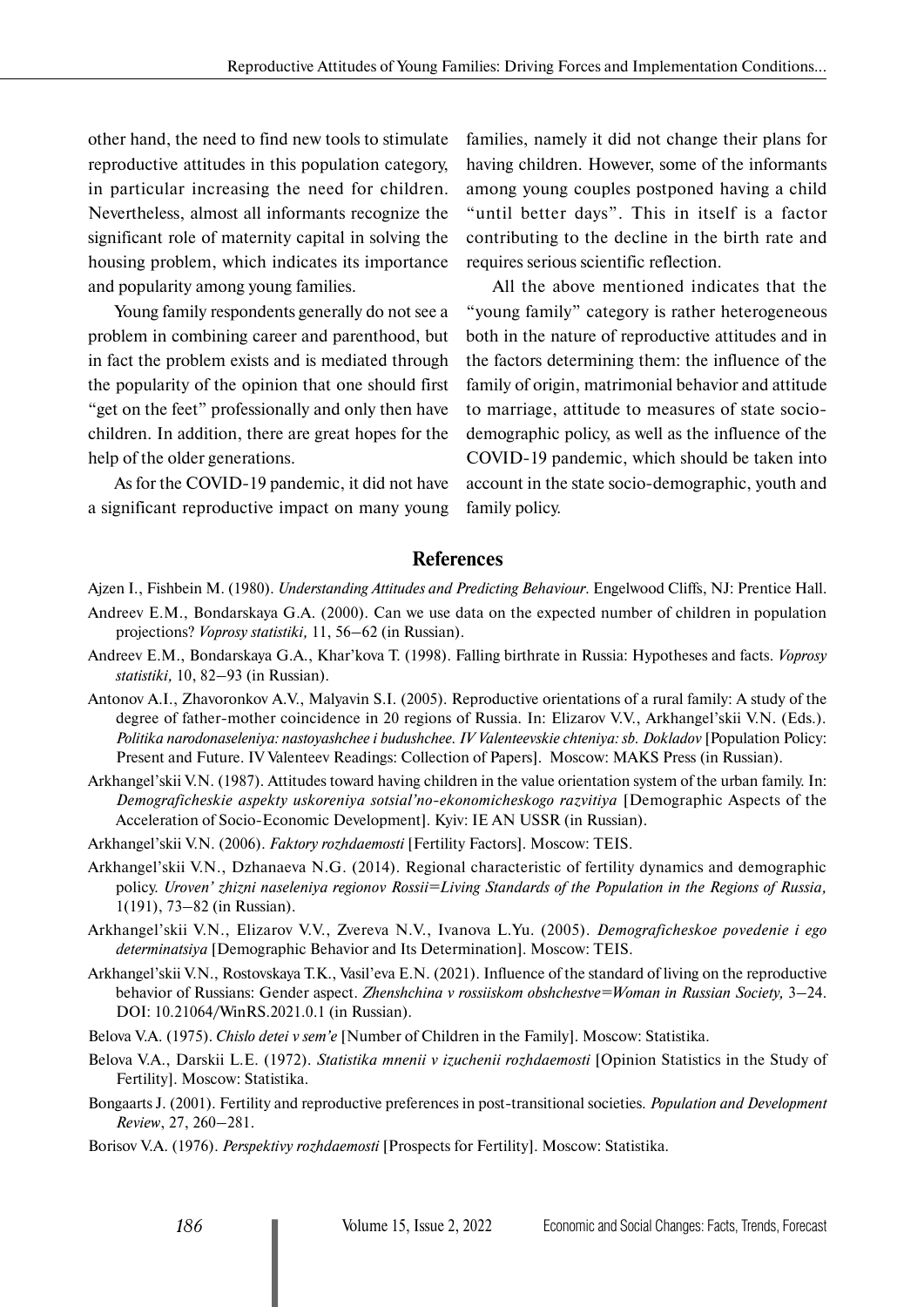other hand, the need to find new tools to stimulate reproductive attitudes in this population category, in particular increasing the need for children. Nevertheless, almost all informants recognize the significant role of maternity capital in solving the housing problem, which indicates its importance and popularity among young families.

Young family respondents generally do not see a problem in combining career and parenthood, but in fact the problem exists and is mediated through the popularity of the opinion that one should first "get on the feet" professionally and only then have children. In addition, there are great hopes for the help of the older generations.

As for the COVID-19 pandemic, it did not have a significant reproductive impact on many young

families, namely it did not change their plans for having children. However, some of the informants among young couples postponed having a child "until better days". This in itself is a factor contributing to the decline in the birth rate and requires serious scientific reflection.

All the above mentioned indicates that the "young family" category is rather heterogeneous both in the nature of reproductive attitudes and in the factors determining them: the influence of the family of origin, matrimonial behavior and attitude to marriage, attitude to measures of state sociodemographic policy, as well as the influence of the COVID-19 pandemic, which should be taken into account in the state socio-demographic, youth and family policy.

# **References**

- Andreev E.M., Bondarskaya G.A. (2000). Can we use data on the expected number of children in population projections? *Voprosy statistiki,* 11, 56–62 (in Russian).
- Andreev E.M., Bondarskaya G.A., Khar'kova T. (1998). Falling birthrate in Russia: Hypotheses and facts. *Voprosy statistiki,* 10, 82–93 (in Russian).
- Antonov A.I., Zhavoronkov A.V., Malyavin S.I. (2005). Reproductive orientations of a rural family: A study of the degree of father-mother coincidence in 20 regions of Russia. In: Elizarov V.V., Arkhangel'skii V.N. (Eds.). *Politika narodonaseleniya: nastoyashchee i budushchee. IV Valenteevskie chteniya: sb. Dokladov* [Population Policy: Present and Future. IV Valenteev Readings: Collection of Papers]. Moscow: MAKS Press (in Russian).
- Arkhangel'skii V.N. (1987). Attitudes toward having children in the value orientation system of the urban family. In: *Demograficheskie aspekty uskoreniya sotsial'no-ekonomicheskogo razvitiya* [Demographic Aspects of the Acceleration of Socio-Economic Development]. Kyiv: IE AN USSR (in Russian).
- Arkhangel'skii V.N. (2006). *Faktory rozhdaemosti* [Fertility Factors]. Moscow: TEIS.
- Arkhangel'skii V.N., Dzhanaeva N.G. (2014). Regional characteristic of fertility dynamics and demographic policy. *Uroven' zhizni naseleniya regionov Rossii=Living Standards of the Population in the Regions of Russia,* 1(191), 73–82 (in Russian).
- Arkhangel'skii V.N., Elizarov V.V., Zvereva N.V., Ivanova L.Yu. (2005). *Demograficheskoe povedenie i ego determinatsiya* [Demographic Behavior and Its Determination]. Moscow: TEIS.
- Arkhangel'skii V.N., Rostovskaya T.K., Vasil'eva E.N. (2021). Influence of the standard of living on the reproductive behavior of Russians: Gender aspect. *Zhenshchina v rossiiskom obshchestve=Woman in Russian Society,* 3–24. DOI: 10.21064/WinRS.2021.0.1 (in Russian).
- Belova V.A. (1975). *Chislo detei v sem'e* [Number of Children in the Family]. Moscow: Statistika.
- Belova V.A., Darskii L.E. (1972). *Statistika mnenii v izuchenii rozhdaemosti* [Opinion Statistics in the Study of Fertility]. Moscow: Statistika.
- Bongaarts J. (2001). Fertility and reproductive preferences in post-transitional societies. *Population and Development Review*, 27, 260–281.
- Borisov V.A. (1976). *Perspektivy rozhdaemosti* [Prospects for Fertility]. Moscow: Statistika.

Ajzen I., Fishbein M. (1980). *Understanding Attitudes and Predicting Behaviour*. Engelwood Cliffs, NJ: Prentice Hall.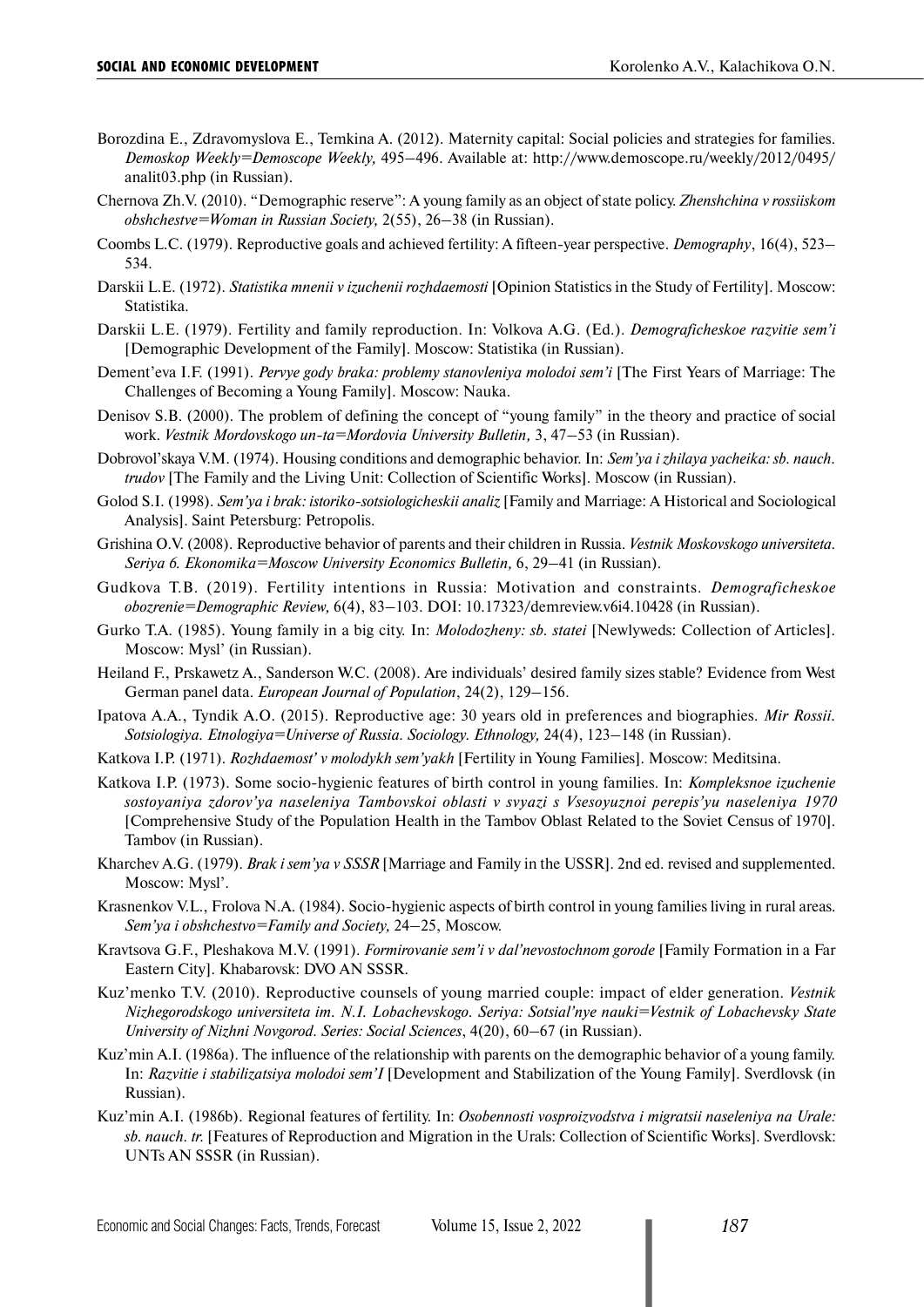- Borozdina E., Zdravomyslova E., Temkina A. (2012). Maternity capital: Social policies and strategies for families. *Demoskop Weekly=Demoscope Weekly,* 495–496. Available at: http://www.demoscope.ru/weekly/2012/0495/ analit03.php (in Russian).
- Chernova Zh.V. (2010). "Demographic reserve": A young family as an object of state policy. *Zhenshchina v rossiiskom obshchestve=Woman in Russian Society,* 2(55), 26–38 (in Russian).
- Coombs L.C. (1979). Reproductive goals and achieved fertility: A fifteen-year perspective. *Demography*, 16(4), 523– 534.
- Darskii L.E. (1972). *Statistika mnenii v izuchenii rozhdaemosti* [Opinion Statistics in the Study of Fertility]. Moscow: Statistika.
- Darskii L.E. (1979). Fertility and family reproduction. In: Volkova A.G. (Ed.). *Demograficheskoe razvitie sem'i* [Demographic Development of the Family]. Moscow: Statistika (in Russian).
- Dement'eva I.F. (1991). *Pervye gody braka: problemy stanovleniya molodoi sem'i* [The First Years of Marriage: The Challenges of Becoming a Young Family]. Moscow: Nauka.
- Denisov S.B. (2000). The problem of defining the concept of "young family" in the theory and practice of social work. *Vestnik Mordovskogo un-ta=Mordovia University Bulletin,* 3, 47–53 (in Russian).
- Dobrovol'skaya V.M. (1974). Housing conditions and demographic behavior. In: *Sem'ya i zhilaya yacheika: sb. nauch. trudov* [The Family and the Living Unit: Collection of Scientific Works]. Moscow (in Russian).
- Golod S.I. (1998). *Sem'ya i brak: istoriko-sotsiologicheskii analiz* [Family and Marriage: A Historical and Sociological Analysis]. Saint Petersburg: Petropolis.
- Grishina O.V. (2008). Reproductive behavior of parents and their children in Russia. *Vestnik Moskovskogo universiteta. Seriya 6. Ekonomika=Moscow University Economics Bulletin,* 6, 29–41 (in Russian).
- Gudkova T.B. (2019). Fertility intentions in Russia: Motivation and constraints. *Demograficheskoe obozrenie=Demographic Review,* 6(4), 83–103. DOI: 10.17323/demreview.v6i4.10428 (in Russian).
- Gurko T.A. (1985). Young family in a big city. In: *Molodozheny: sb. statei* [Newlyweds: Collection of Articles]. Moscow: Mysl' (in Russian).
- Heiland F., Prskawetz A., Sanderson W.C. (2008). Are individuals' desired family sizes stable? Evidence from West German panel data. *European Journal of Population*, 24(2), 129–156.
- Ipatova A.A., Tyndik A.O. (2015). Reproductive age: 30 years old in preferences and biographies. *Mir Rossii. Sotsiologiya. Etnologiya=Universe of Russia. Sociology. Ethnology,* 24(4), 123–148 (in Russian).
- Katkova I.P. (1971). *Rozhdaemost' v molodykh sem'yakh* [Fertility in Young Families]. Moscow: Meditsina.
- Katkova I.P. (1973). Some socio-hygienic features of birth control in young families. In: *Kompleksnoe izuchenie sostoyaniya zdorov'ya naseleniya Tambovskoi oblasti v svyazi s Vsesoyuznoi perepis'yu naseleniya 1970* [Comprehensive Study of the Population Health in the Tambov Oblast Related to the Soviet Census of 1970]. Tambov (in Russian).
- Kharchev A.G. (1979). *Brak i sem'ya v SSSR* [Marriage and Family in the USSR]. 2nd ed. revised and supplemented. Moscow: Mysl'.
- Krasnenkov V.L., Frolova N.A. (1984). Socio-hygienic aspects of birth control in young families living in rural areas. *Sem'ya i obshchestvo=Family and Society,* 24–25, Moscow.
- Kravtsova G.F., Pleshakova M.V. (1991). *Formirovanie sem'i v dal'nevostochnom gorode* [Family Formation in a Far Eastern City]. Khabarovsk: DVO AN SSSR.
- Kuz'menko T.V. (2010). Reproductive counsels of young married couple: impact of elder generation. *Vestnik Nizhegorodskogo universiteta im. N.I. Lobachevskogo. Seriya: Sotsial'nye nauki=Vestnik of Lobachevsky State University of Nizhni Novgorod. Series: Social Sciences*, 4(20), 60–67 (in Russian).
- Kuz'min A.I. (1986a). The influence of the relationship with parents on the demographic behavior of a young family. In: *Razvitie i stabilizatsiya molodoi sem'I* [Development and Stabilization of the Young Family]. Sverdlovsk (in Russian).
- Kuz'min A.I. (1986b). Regional features of fertility. In: *Osobennosti vosproizvodstva i migratsii naseleniya na Urale: sb. nauch. tr.* [Features of Reproduction and Migration in the Urals: Collection of Scientific Works]. Sverdlovsk: UNTs AN SSSR (in Russian).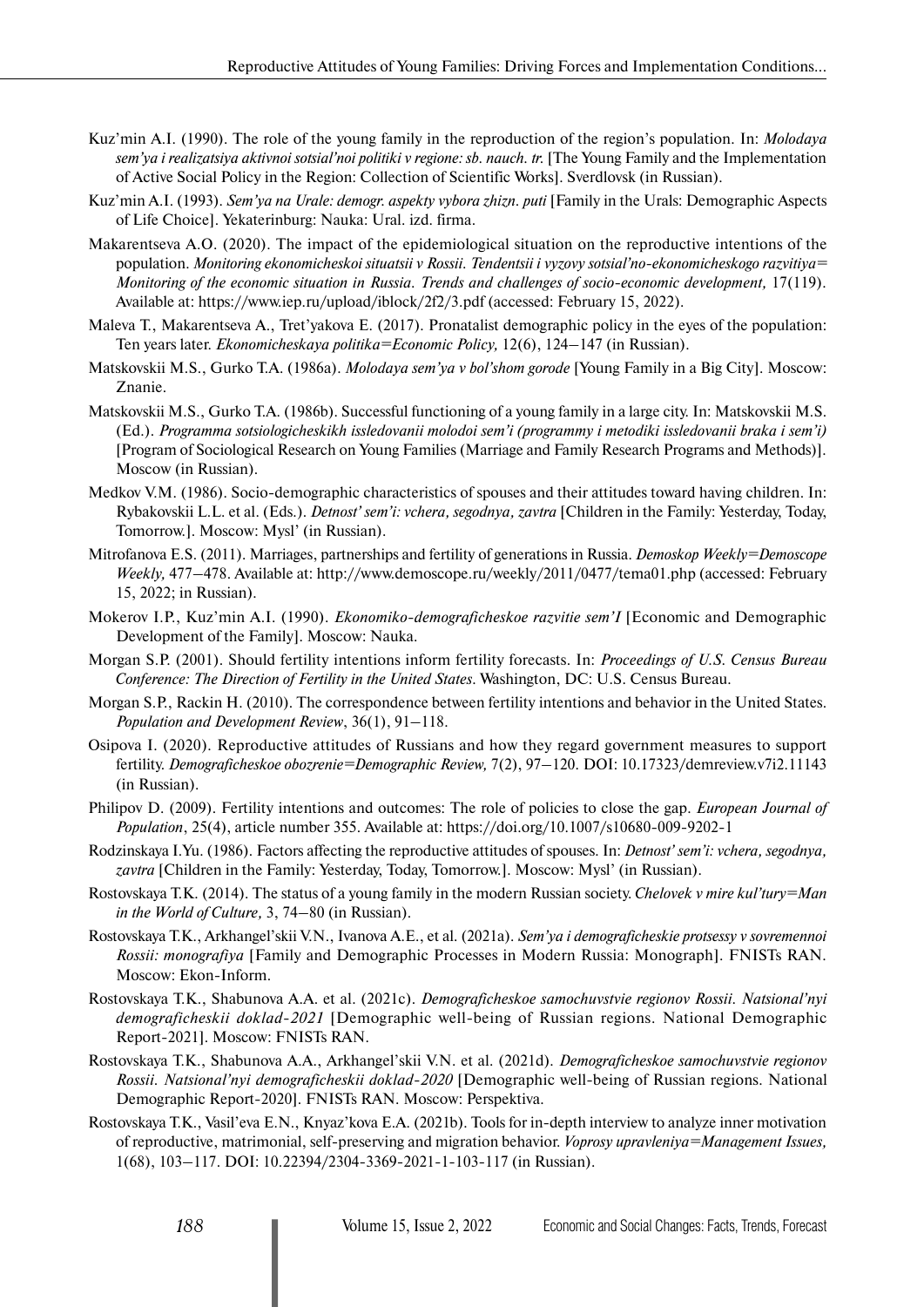- Kuz'min A.I. (1990). The role of the young family in the reproduction of the region's population. In: *Molodaya sem'ya i realizatsiya aktivnoi sotsial'noi politiki v regione: sb. nauch. tr.* [The Young Family and the Implementation of Active Social Policy in the Region: Collection of Scientific Works]. Sverdlovsk (in Russian).
- Kuz'min A.I. (1993). *Sem'ya na Urale: demogr. aspekty vybora zhizn. puti* [Family in the Urals: Demographic Aspects of Life Choice]. Yekaterinburg: Nauka: Ural. izd. firma.
- Makarentseva A.O. (2020). The impact of the epidemiological situation on the reproductive intentions of the population. *Monitoring ekonomicheskoi situatsii v Rossii. Tendentsii i vyzovy sotsial'no-ekonomicheskogo razvitiya= Monitoring of the economic situation in Russia. Trends and challenges of socio-economic development,* 17(119). Available at: https://www.iep.ru/upload/iblock/2f2/3.pdf (accessed: February 15, 2022).
- Maleva T., Makarentseva A., Tret'yakova E. (2017). Pronatalist demographic policy in the eyes of the population: Ten years later. *Ekonomicheskaya politika=Economic Policy,* 12(6), 124–147 (in Russian).
- Matskovskii M.S., Gurko T.A. (1986a). *Molodaya sem'ya v bol'shom gorode* [Young Family in a Big City]. Moscow: Znanie.
- Matskovskii M.S., Gurko T.A. (1986b). Successful functioning of a young family in a large city. In: Matskovskii M.S. (Ed.). *Programma sotsiologicheskikh issledovanii molodoi sem'i (programmy i metodiki issledovanii braka i sem'i)* [Program of Sociological Research on Young Families (Marriage and Family Research Programs and Methods)]. Moscow (in Russian).
- Medkov V.M. (1986). Socio-demographic characteristics of spouses and their attitudes toward having children. In: Rybakovskii L.L. et al. (Eds.). *Detnost' sem'i: vchera, segodnya, zavtra* [Children in the Family: Yesterday, Today, Tomorrow.]. Moscow: Mysl' (in Russian).
- Mitrofanova E.S. (2011). Marriages, partnerships and fertility of generations in Russia. *Demoskop Weekly=Demoscope Weekly,* 477–478. Available at: http://www.demoscope.ru/weekly/2011/0477/tema01.php (accessed: February 15, 2022; in Russian).
- Mokerov I.P., Kuz'min A.I. (1990). *Ekonomiko-demograficheskoe razvitie sem'I* [Economic and Demographic Development of the Family]. Moscow: Nauka.
- Morgan S.P. (2001). Should fertility intentions inform fertility forecasts. In: *Proceedings of U.S. Census Bureau Conference: The Direction of Fertility in the United States*. Washington, DC: U.S. Census Bureau.
- Morgan S.P., Rackin H. (2010). The correspondence between fertility intentions and behavior in the United States. *Population and Development Review*, 36(1), 91–118.
- Osipova I. (2020). Reproductive attitudes of Russians and how they regard government measures to support fertility. *Demograficheskoe obozrenie=Demographic Review,* 7(2), 97–120. DOI: 10.17323/demreview.v7i2.11143 (in Russian).
- Philipov D. (2009). Fertility intentions and outcomes: The role of policies to close the gap. *European Journal of Population*, 25(4), article number 355. Available at: https://doi.org/10.1007/s10680-009-9202-1
- Rodzinskaya I.Yu. (1986). Factors affecting the reproductive attitudes of spouses. In: *Detnost' sem'i: vchera, segodnya, zavtra* [Children in the Family: Yesterday, Today, Tomorrow.]. Moscow: Mysl' (in Russian).
- Rostovskaya T.K. (2014). The status of a young family in the modern Russian society. *Chelovek v mire kul'tury=Man in the World of Culture,* 3, 74–80 (in Russian).
- Rostovskaya T.K., Arkhangel'skii V.N., Ivanova A.E., et al. (2021а). *Sem'ya i demograficheskie protsessy v sovremennoi Rossii: monografiya* [Family and Demographic Processes in Modern Russia: Monograph]. FNISTs RAN. Moscow: Ekon-Inform.
- Rostovskaya T.K., Shabunova A.A. et al. (2021c). *Demograficheskoe samochuvstvie regionov Rossii. Natsional'nyi demograficheskii doklad-2021* [Demographic well-being of Russian regions. National Demographic Report-2021]. Moscow: FNISTs RAN.
- Rostovskaya T.K., Shabunova A.A., Arkhangel'skii V.N. et al. (2021d). *Demograficheskoe samochuvstvie regionov Rossii. Natsional'nyi demograficheskii doklad-2020* [Demographic well-being of Russian regions. National Demographic Report-2020]. FNISTs RAN. Moscow: Perspektiva.
- Rostovskaya T.K., Vasil'eva E.N., Knyaz'kova E.A. (2021b). Tools for in-depth interview to analyze inner motivation of reproductive, matrimonial, self-preserving and migration behavior. *Voprosy upravleniya=Management Issues,* 1(68), 103–117. DOI: 10.22394/2304-3369-2021-1-103-117 (in Russian).